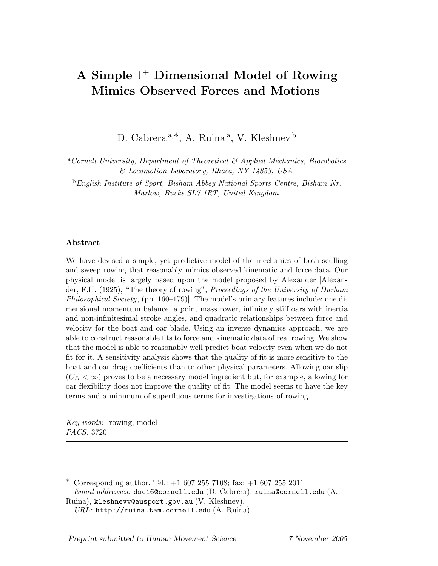# A Simple 1 <sup>+</sup> Dimensional Model of Rowing Mimics Observed Forces and Motions

D. Cabrera<sup>a,\*</sup>, A. Ruina<sup>a</sup>, V. Kleshnev<sup>b</sup>

 ${}^a$ Cornell University, Department of Theoretical & Applied Mechanics, Biorobotics & Locomotion Laboratory, Ithaca, NY 14853, USA

<sup>b</sup>English Institute of Sport, Bisham Abbey National Sports Centre, Bisham Nr. Marlow, Bucks SL7 1RT, United Kingdom

#### Abstract

We have devised a simple, yet predictive model of the mechanics of both sculling and sweep rowing that reasonably mimics observed kinematic and force data. Our physical model is largely based upon the model proposed by Alexander [Alexander, F.H. (1925), "The theory of rowing", Proceedings of the University of Durham Philosophical Society, (pp. 160–179)]. The model's primary features include: one dimensional momentum balance, a point mass rower, infinitely stiff oars with inertia and non-infinitesimal stroke angles, and quadratic relationships between force and velocity for the boat and oar blade. Using an inverse dynamics approach, we are able to construct reasonable fits to force and kinematic data of real rowing. We show that the model is able to reasonably well predict boat velocity even when we do not fit for it. A sensitivity analysis shows that the quality of fit is more sensitive to the boat and oar drag coefficients than to other physical parameters. Allowing oar slip  $(C_D < \infty)$  proves to be a necessary model ingredient but, for example, allowing for oar flexibility does not improve the quality of fit. The model seems to have the key terms and a minimum of superfluous terms for investigations of rowing.

Key words: rowing, model PACS: 3720

 $*$  Corresponding author. Tel.:  $+1,607,255,7108$ ; fax:  $+1,607,255,2011$  $Email \ addresses: dsc16@comell.edu (D. Cabrera), ruina@comell.edu (A.$ Ruina), kleshnevv@ausport.gov.au (V. Kleshnev).

 $URL: \text{http://ruina.tam.cornell.edu(A. Ruina).}$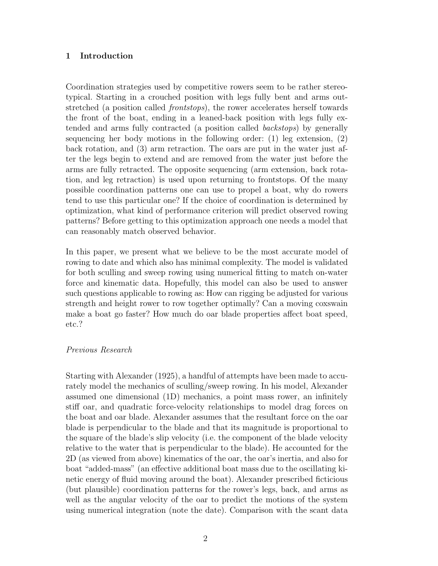# 1 Introduction

Coordination strategies used by competitive rowers seem to be rather stereotypical. Starting in a crouched position with legs fully bent and arms outstretched (a position called frontstops), the rower accelerates herself towards the front of the boat, ending in a leaned-back position with legs fully extended and arms fully contracted (a position called backstops) by generally sequencing her body motions in the following order: (1) leg extension, (2) back rotation, and (3) arm retraction. The oars are put in the water just after the legs begin to extend and are removed from the water just before the arms are fully retracted. The opposite sequencing (arm extension, back rotation, and leg retraction) is used upon returning to frontstops. Of the many possible coordination patterns one can use to propel a boat, why do rowers tend to use this particular one? If the choice of coordination is determined by optimization, what kind of performance criterion will predict observed rowing patterns? Before getting to this optimization approach one needs a model that can reasonably match observed behavior.

In this paper, we present what we believe to be the most accurate model of rowing to date and which also has minimal complexity. The model is validated for both sculling and sweep rowing using numerical fitting to match on-water force and kinematic data. Hopefully, this model can also be used to answer such questions applicable to rowing as: How can rigging be adjusted for various strength and height rower to row together optimally? Can a moving coxswain make a boat go faster? How much do oar blade properties affect boat speed, etc.?

# Previous Research

Starting with Alexander (1925), a handful of attempts have been made to accurately model the mechanics of sculling/sweep rowing. In his model, Alexander assumed one dimensional (1D) mechanics, a point mass rower, an infinitely stiff oar, and quadratic force-velocity relationships to model drag forces on the boat and oar blade. Alexander assumes that the resultant force on the oar blade is perpendicular to the blade and that its magnitude is proportional to the square of the blade's slip velocity (i.e. the component of the blade velocity relative to the water that is perpendicular to the blade). He accounted for the 2D (as viewed from above) kinematics of the oar, the oar's inertia, and also for boat "added-mass" (an effective additional boat mass due to the oscillating kinetic energy of fluid moving around the boat). Alexander prescribed ficticious (but plausible) coordination patterns for the rower's legs, back, and arms as well as the angular velocity of the oar to predict the motions of the system using numerical integration (note the date). Comparison with the scant data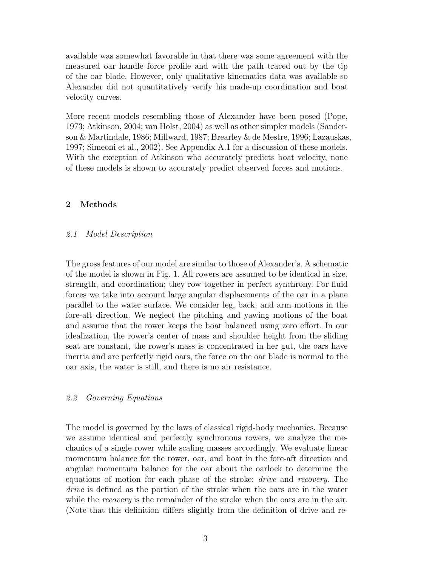available was somewhat favorable in that there was some agreement with the measured oar handle force profile and with the path traced out by the tip of the oar blade. However, only qualitative kinematics data was available so Alexander did not quantitatively verify his made-up coordination and boat velocity curves.

More recent models resembling those of Alexander have been posed (Pope, 1973; Atkinson, 2004; van Holst, 2004) as well as other simpler models (Sanderson & Martindale, 1986; Millward, 1987; Brearley & de Mestre, 1996; Lazauskas, 1997; Simeoni et al., 2002). See Appendix A.1 for a discussion of these models. With the exception of Atkinson who accurately predicts boat velocity, none of these models is shown to accurately predict observed forces and motions.

# 2 Methods

# 2.1 Model Description

The gross features of our model are similar to those of Alexander's. A schematic of the model is shown in Fig. 1. All rowers are assumed to be identical in size, strength, and coordination; they row together in perfect synchrony. For fluid forces we take into account large angular displacements of the oar in a plane parallel to the water surface. We consider leg, back, and arm motions in the fore-aft direction. We neglect the pitching and yawing motions of the boat and assume that the rower keeps the boat balanced using zero effort. In our idealization, the rower's center of mass and shoulder height from the sliding seat are constant, the rower's mass is concentrated in her gut, the oars have inertia and are perfectly rigid oars, the force on the oar blade is normal to the oar axis, the water is still, and there is no air resistance.

# 2.2 Governing Equations

The model is governed by the laws of classical rigid-body mechanics. Because we assume identical and perfectly synchronous rowers, we analyze the mechanics of a single rower while scaling masses accordingly. We evaluate linear momentum balance for the rower, oar, and boat in the fore-aft direction and angular momentum balance for the oar about the oarlock to determine the equations of motion for each phase of the stroke: drive and recovery. The drive is defined as the portion of the stroke when the oars are in the water while the *recovery* is the remainder of the stroke when the oars are in the air. (Note that this definition differs slightly from the definition of drive and re-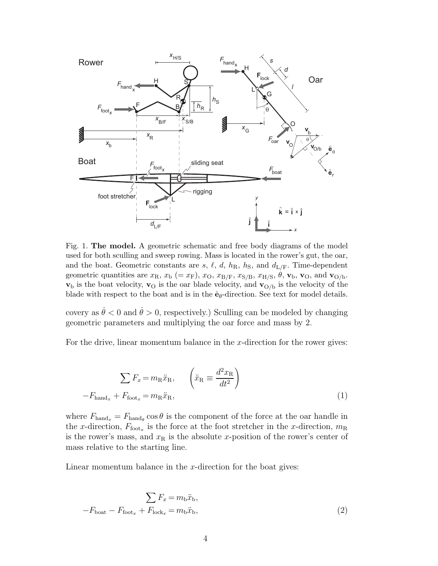

Fig. 1. The model. A geometric schematic and free body diagrams of the model used for both sculling and sweep rowing. Mass is located in the rower's gut, the oar, and the boat. Geometric constants are s,  $\ell$ ,  $d$ ,  $h_{\rm R}$ ,  $h_{\rm S}$ , and  $d_{\rm L/F}$ . Time-dependent geometric quantities are  $x_R$ ,  $x_b$  (=  $x_F$ ),  $x_O$ ,  $x_{B/F}$ ,  $x_{S/B}$ ,  $x_{H/S}$ ,  $\theta$ ,  $\mathbf{v}_b$ ,  $\mathbf{v}_O$ , and  $\mathbf{v}_{O/b}$ .  $\mathbf{v}_b$  is the boat velocity,  $\mathbf{v}_0$  is the oar blade velocity, and  $\mathbf{v}_{O/b}$  is the velocity of the blade with respect to the boat and is in the  $\hat{\mathbf{e}}_{\theta}$ -direction. See text for model details.

covery as  $\dot{\theta} < 0$  and  $\dot{\theta} > 0$ , respectively.) Sculling can be modeled by changing geometric parameters and multiplying the oar force and mass by 2.

For the drive, linear momentum balance in the  $x$ -direction for the rower gives:

$$
\sum F_x = m_{\rm R} \ddot{x}_{\rm R}, \qquad \left(\ddot{x}_{\rm R} \equiv \frac{d^2 x_{\rm R}}{dt^2}\right)
$$

$$
-F_{\rm hand_x} + F_{\rm foot_x} = m_{\rm R} \ddot{x}_{\rm R}, \qquad (1)
$$

where  $F_{\text{hand}_x} = F_{\text{hand}_\theta} \cos \theta$  is the component of the force at the oar handle in the x-direction,  $F_{\text{foot}_x}$  is the force at the foot stretcher in the x-direction,  $m_R$ is the rower's mass, and  $x<sub>R</sub>$  is the absolute x-position of the rower's center of mass relative to the starting line.

Linear momentum balance in the  $x$ -direction for the boat gives:

$$
\sum F_x = m_b \ddot{x}_b,
$$
  
- $F_{\text{boat}} - F_{\text{foot}_x} + F_{\text{lock}_x} = m_b \ddot{x}_b,$  (2)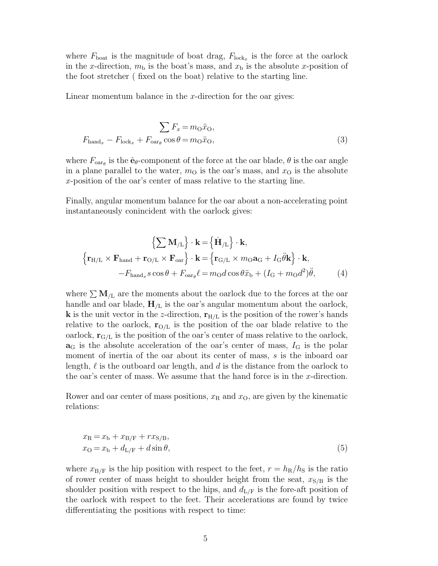where  $F_{\text{boat}}$  is the magnitude of boat drag,  $F_{\text{lock}_x}$  is the force at the oarlock in the x-direction,  $m<sub>b</sub>$  is the boat's mass, and  $x<sub>b</sub>$  is the absolute x-position of the foot stretcher ( fixed on the boat) relative to the starting line.

Linear momentum balance in the  $x$ -direction for the oar gives:

$$
\sum F_x = m_O \ddot{x}_O,
$$
  
\n
$$
F_{\text{hand}_x} - F_{\text{lock}_x} + F_{\text{oar}_\theta} \cos \theta = m_O \ddot{x}_O,
$$
\n(3)

where  $F_{\text{oar}_{\theta}}$  is the  $\hat{\mathbf{e}}_{\theta}$ -component of the force at the oar blade,  $\theta$  is the oar angle in a plane parallel to the water,  $m<sub>O</sub>$  is the oar's mass, and  $x<sub>O</sub>$  is the absolute x-position of the oar's center of mass relative to the starting line.

Finally, angular momentum balance for the oar about a non-accelerating point instantaneously conincident with the oarlock gives:

$$
\left\{\sum \mathbf{M}_{/L}\right\} \cdot \mathbf{k} = \left\{\dot{\mathbf{H}}_{/L}\right\} \cdot \mathbf{k},
$$
  

$$
\left\{\mathbf{r}_{H/L} \times \mathbf{F}_{hand} + \mathbf{r}_{O/L} \times \mathbf{F}_{oar}\right\} \cdot \mathbf{k} = \left\{\mathbf{r}_{G/L} \times m_O \mathbf{a}_G + I_G \ddot{\theta} \mathbf{k}\right\} \cdot \mathbf{k},
$$

$$
-F_{hand_x} s \cos \theta + F_{oar_\theta} \ell = m_O d \cos \theta \ddot{x}_b + (I_G + m_O d^2) \ddot{\theta}, \tag{4}
$$

where  $\sum M_{/L}$  are the moments about the oarlock due to the forces at the oar handle and oar blade,  $H_{/L}$  is the oar's angular momentum about the oarlock, **k** is the unit vector in the z-direction,  $\mathbf{r}_{\text{H/L}}$  is the position of the rower's hands relative to the oarlock,  $\mathbf{r}_{\text{O/L}}$  is the position of the oar blade relative to the oarlock,  $\mathbf{r}_{G/L}$  is the position of the oar's center of mass relative to the oarlock,  $a<sub>G</sub>$  is the absolute acceleration of the oar's center of mass,  $I<sub>G</sub>$  is the polar moment of inertia of the oar about its center of mass, s is the inboard oar length,  $\ell$  is the outboard oar length, and d is the distance from the oarlock to the oar's center of mass. We assume that the hand force is in the  $x$ -direction.

Rower and oar center of mass positions,  $x_R$  and  $x_O$ , are given by the kinematic relations:

$$
x_{\rm R} = x_{\rm b} + x_{\rm B/F} + r x_{\rm S/B},
$$
  
\n
$$
x_{\rm O} = x_{\rm b} + d_{\rm L/F} + d \sin \theta,
$$
\n(5)

where  $x_{\rm B/F}$  is the hip position with respect to the feet,  $r = h_{\rm R}/h_{\rm S}$  is the ratio of rower center of mass height to shoulder height from the seat,  $x_{S/B}$  is the shoulder position with respect to the hips, and  $d_{L/F}$  is the fore-aft position of the oarlock with respect to the feet. Their accelerations are found by twice differentiating the positions with respect to time: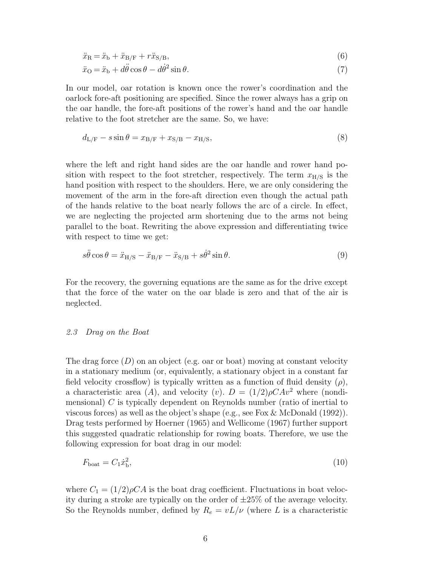$$
\ddot{x}_{\rm R} = \ddot{x}_{\rm b} + \ddot{x}_{\rm B/F} + r\ddot{x}_{\rm S/B},\tag{6}
$$

$$
\ddot{x}_{\rm O} = \ddot{x}_{\rm b} + d\ddot{\theta}\cos\theta - d\dot{\theta}^2\sin\theta. \tag{7}
$$

In our model, oar rotation is known once the rower's coordination and the oarlock fore-aft positioning are specified. Since the rower always has a grip on the oar handle, the fore-aft positions of the rower's hand and the oar handle relative to the foot stretcher are the same. So, we have:

$$
d_{L/F} - s \sin \theta = x_{B/F} + x_{S/B} - x_{H/S},
$$
\n(8)

where the left and right hand sides are the oar handle and rower hand position with respect to the foot stretcher, respectively. The term  $x_{\rm H/S}$  is the hand position with respect to the shoulders. Here, we are only considering the movement of the arm in the fore-aft direction even though the actual path of the hands relative to the boat nearly follows the arc of a circle. In effect, we are neglecting the projected arm shortening due to the arms not being parallel to the boat. Rewriting the above expression and differentiating twice with respect to time we get:

$$
s\ddot{\theta}\cos\theta = \ddot{x}_{\mathrm{H/S}} - \ddot{x}_{\mathrm{B/F}} - \ddot{x}_{\mathrm{S/B}} + s\dot{\theta}^{2}\sin\theta. \tag{9}
$$

For the recovery, the governing equations are the same as for the drive except that the force of the water on the oar blade is zero and that of the air is neglected.

# 2.3 Drag on the Boat

The drag force  $(D)$  on an object (e.g. oar or boat) moving at constant velocity in a stationary medium (or, equivalently, a stationary object in a constant far field velocity crossflow) is typically written as a function of fluid density  $(\rho)$ , a characteristic area (A), and velocity (v).  $D = (1/2)\rho CAv^2$  where (nondimensional) C is typically dependent on Reynolds number (ratio of inertial to viscous forces) as well as the object's shape (e.g., see Fox & McDonald (1992)). Drag tests performed by Hoerner (1965) and Wellicome (1967) further support this suggested quadratic relationship for rowing boats. Therefore, we use the following expression for boat drag in our model:

$$
F_{\text{boat}} = C_1 \dot{x}_{\text{b}}^2,\tag{10}
$$

where  $C_1 = (1/2)\rho C A$  is the boat drag coefficient. Fluctuations in boat velocity during a stroke are typically on the order of  $\pm 25\%$  of the average velocity. So the Reynolds number, defined by  $R_e = vL/\nu$  (where L is a characteristic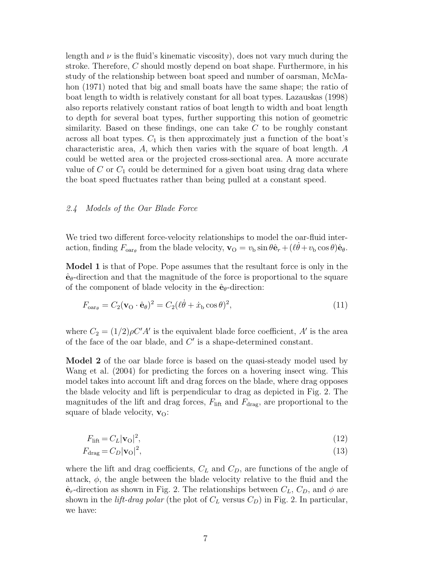length and  $\nu$  is the fluid's kinematic viscosity), does not vary much during the stroke. Therefore, C should mostly depend on boat shape. Furthermore, in his study of the relationship between boat speed and number of oarsman, McMahon (1971) noted that big and small boats have the same shape; the ratio of boat length to width is relatively constant for all boat types. Lazauskas (1998) also reports relatively constant ratios of boat length to width and boat length to depth for several boat types, further supporting this notion of geometric similarity. Based on these findings, one can take  $C$  to be roughly constant across all boat types.  $C_1$  is then approximately just a function of the boat's characteristic area, A, which then varies with the square of boat length. A could be wetted area or the projected cross-sectional area. A more accurate value of  $C$  or  $C_1$  could be determined for a given boat using drag data where the boat speed fluctuates rather than being pulled at a constant speed.

#### 2.4 Models of the Oar Blade Force

We tried two different force-velocity relationships to model the oar-fluid interaction, finding  $F_{\text{oar}_{\theta}}$  from the blade velocity,  $\mathbf{v}_{\text{O}} = v_{\text{b}} \sin \theta \hat{\mathbf{e}}_r + (\ell \dot{\theta} + v_{\text{b}} \cos \theta) \hat{\mathbf{e}}_{\theta}$ .

Model 1 is that of Pope. Pope assumes that the resultant force is only in the  $\hat{\mathbf{e}}_{\theta}$ -direction and that the magnitude of the force is proportional to the square of the component of blade velocity in the  $\hat{\mathbf{e}}_{\theta}$ -direction:

$$
F_{\text{oarg}} = C_2 (\mathbf{v}_0 \cdot \hat{\mathbf{e}}_{\theta})^2 = C_2 (\ell \dot{\theta} + \dot{x}_b \cos \theta)^2, \tag{11}
$$

where  $C_2 = (1/2)\rho C' A'$  is the equivalent blade force coefficient, A' is the area of the face of the oar blade, and  $C'$  is a shape-determined constant.

Model 2 of the oar blade force is based on the quasi-steady model used by Wang et al. (2004) for predicting the forces on a hovering insect wing. This model takes into account lift and drag forces on the blade, where drag opposes the blade velocity and lift is perpendicular to drag as depicted in Fig. 2. The magnitudes of the lift and drag forces,  $F_{\text{lift}}$  and  $F_{\text{drag}}$ , are proportional to the square of blade velocity,  $\mathbf{v}_0$ :

$$
F_{\text{lift}} = C_L |\mathbf{v}_0|^2,\tag{12}
$$

$$
F_{\rm drag} = C_D |\mathbf{v}_O|^2,\tag{13}
$$

where the lift and drag coefficients,  $C<sub>L</sub>$  and  $C<sub>D</sub>$ , are functions of the angle of attack,  $\phi$ , the angle between the blade velocity relative to the fluid and the  $\hat{\mathbf{e}}_r$ -direction as shown in Fig. 2. The relationships between  $C_L$ ,  $C_D$ , and  $\phi$  are shown in the *lift-drag polar* (the plot of  $C_L$  versus  $C_D$ ) in Fig. 2. In particular, we have: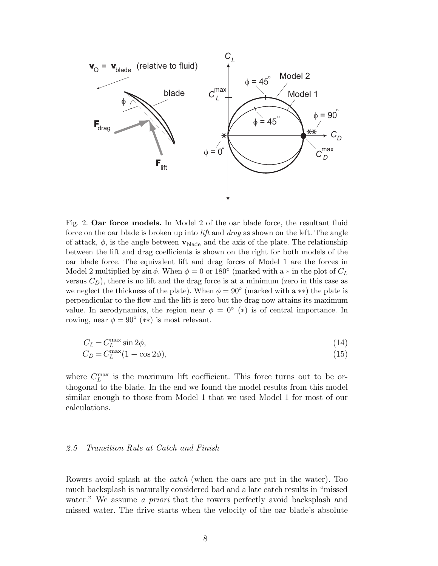

Fig. 2. Oar force models. In Model 2 of the oar blade force, the resultant fluid force on the oar blade is broken up into *lift* and *drag* as shown on the left. The angle of attack,  $\phi$ , is the angle between  $\mathbf{v}_{\text{black}}$  and the axis of the plate. The relationship between the lift and drag coefficients is shown on the right for both models of the oar blade force. The equivalent lift and drag forces of Model 1 are the forces in Model 2 multiplied by  $\sin \phi$ . When  $\phi = 0$  or 180° (marked with a  $*$  in the plot of  $C_L$ versus  $C_D$ ), there is no lift and the drag force is at a minimum (zero in this case as we neglect the thickness of the plate). When  $\phi = 90^{\circ}$  (marked with a \*\*) the plate is perpendicular to the flow and the lift is zero but the drag now attains its maximum value. In aerodynamics, the region near  $\phi = 0^{\circ}$  (\*) is of central importance. In rowing, near  $\phi = 90^{\circ}$  (\*\*) is most relevant.

$$
C_L = C_L^{\max} \sin 2\phi,\tag{14}
$$

$$
C_D = C_L^{\max}(1 - \cos 2\phi),\tag{15}
$$

where  $C_L^{\max}$  is the maximum lift coefficient. This force turns out to be orthogonal to the blade. In the end we found the model results from this model similar enough to those from Model 1 that we used Model 1 for most of our calculations.

#### 2.5 Transition Rule at Catch and Finish

Rowers avoid splash at the catch (when the oars are put in the water). Too much backsplash is naturally considered bad and a late catch results in "missed water." We assume a priori that the rowers perfectly avoid backsplash and missed water. The drive starts when the velocity of the oar blade's absolute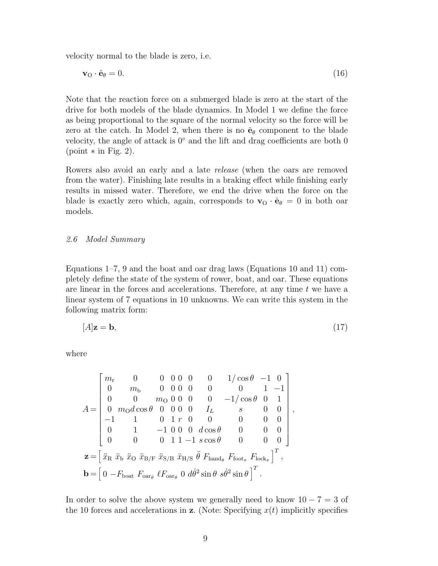velocity normal to the blade is zero, i.e.

$$
\mathbf{v}_\text{O} \cdot \hat{\mathbf{e}}_\theta = 0. \tag{16}
$$

Note that the reaction force on a submerged blade is zero at the start of the drive for both models of the blade dynamics. In Model 1 we define the force as being proportional to the square of the normal velocity so the force will be zero at the catch. In Model 2, when there is no  $\hat{\mathbf{e}}_{\theta}$  component to the blade velocity, the angle of attack is  $0°$  and the lift and drag coefficients are both 0  $(point * in Fig. 2).$ 

Rowers also avoid an early and a late release (when the oars are removed from the water). Finishing late results in a braking effect while finishing early results in missed water. Therefore, we end the drive when the force on the blade is exactly zero which, again, corresponds to  $\mathbf{v}_0 \cdot \hat{\mathbf{e}}_{\theta} = 0$  in both oar models.

## 2.6 Model Summary

Equations 1–7, 9 and the boat and oar drag laws (Equations 10 and 11) completely define the state of the system of rower, boat, and oar. These equations are linear in the forces and accelerations. Therefore, at any time  $t$  we have a linear system of 7 equations in 10 unknowns. We can write this system in the following matrix form:

$$
[A]z = b,\tag{17}
$$

where

$$
A = \begin{bmatrix} m_{\rm r} & 0 & 0 & 0 & 0 & 0 & 0 & 1/\cos\theta & -1 & 0 \\ 0 & m_{\rm b} & 0 & 0 & 0 & 0 & 0 & 0 & 1 & -1 \\ 0 & 0 & m_{\rm O} & 0 & 0 & 0 & 0 & -1/\cos\theta & 0 & 1 \\ 0 & m_{\rm O} & d\cos\theta & 0 & 0 & 0 & I_L & s & 0 & 0 \\ -1 & 1 & 0 & 1 & r & 0 & 0 & 0 & 0 & 0 \\ 0 & 1 & -1 & 0 & 0 & d\cos\theta & 0 & 0 & 0 \\ 0 & 0 & 0 & 1 & 1 & -1 & s\cos\theta & 0 & 0 & 0 \end{bmatrix},
$$
  

$$
\mathbf{z} = \begin{bmatrix} \ddot{x}_{\rm R} & \ddot{x}_{\rm b} & \ddot{x}_{\rm O} & \ddot{x}_{\rm B/F} & \ddot{x}_{\rm S/B} & \ddot{x}_{\rm H/S} & \ddot{\theta} & F_{\rm hand_{\theta}} & F_{\rm foot_x} & F_{\rm lock_x} \end{bmatrix}^T,
$$
  

$$
\mathbf{b} = \begin{bmatrix} 0 & -F_{\rm boat} & F_{\rm oar_{\theta}} & \ell F_{\rm oar_{\theta}} & 0 & d\dot{\theta}^2 \sin\theta & s\dot{\theta}^2 \sin\theta \end{bmatrix}^T.
$$

In order to solve the above system we generally need to know  $10 - 7 = 3$  of the 10 forces and accelerations in z. (Note: Specifying  $x(t)$  implicitly specifies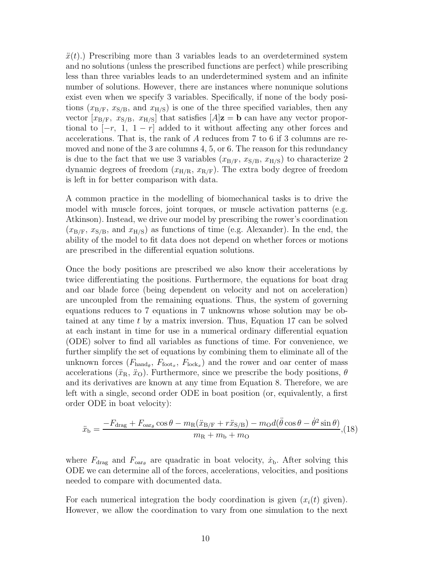$\ddot{x}(t)$ .) Prescribing more than 3 variables leads to an overdetermined system and no solutions (unless the prescribed functions are perfect) while prescribing less than three variables leads to an underdetermined system and an infinite number of solutions. However, there are instances where nonunique solutions exist even when we specify 3 variables. Specifically, if none of the body positions  $(x_{\rm B/F}, x_{\rm S/B},$  and  $x_{\rm H/S}$  is one of the three specified variables, then any vector  $[x_{B/F}, x_{S/B}, x_{H/S}]$  that satisfies  $[A]z = b$  can have any vector proportional to  $[-r, 1, 1-r]$  added to it without affecting any other forces and accelerations. That is, the rank of A reduces from 7 to 6 if 3 columns are removed and none of the 3 are columns 4, 5, or 6. The reason for this redundancy is due to the fact that we use 3 variables  $(x_{\rm B/F}, x_{\rm S/B}, x_{\rm H/S})$  to characterize 2 dynamic degrees of freedom  $(x_{\rm H/R}, x_{\rm R/F})$ . The extra body degree of freedom is left in for better comparison with data.

A common practice in the modelling of biomechanical tasks is to drive the model with muscle forces, joint torques, or muscle activation patterns (e.g. Atkinson). Instead, we drive our model by prescribing the rower's coordination  $(x_{\rm B/F}, x_{\rm S/B}, \text{ and } x_{\rm H/S})$  as functions of time (e.g. Alexander). In the end, the ability of the model to fit data does not depend on whether forces or motions are prescribed in the differential equation solutions.

Once the body positions are prescribed we also know their accelerations by twice differentiating the positions. Furthermore, the equations for boat drag and oar blade force (being dependent on velocity and not on acceleration) are uncoupled from the remaining equations. Thus, the system of governing equations reduces to 7 equations in 7 unknowns whose solution may be obtained at any time t by a matrix inversion. Thus, Equation 17 can be solved at each instant in time for use in a numerical ordinary differential equation (ODE) solver to find all variables as functions of time. For convenience, we further simplify the set of equations by combining them to eliminate all of the unknown forces  $(F_{\text{hand}_{\theta}}, F_{\text{foot}_x}, F_{\text{lock}_x})$  and the rower and oar center of mass accelerations  $(\ddot{x}_{\rm R}, \ddot{x}_{\rm O})$ . Furthermore, since we prescribe the body positions,  $\theta$ and its derivatives are known at any time from Equation 8. Therefore, we are left with a single, second order ODE in boat position (or, equivalently, a first order ODE in boat velocity):

$$
\ddot{x}_{\rm b} = \frac{-F_{\rm drag} + F_{\rm oar\theta} \cos \theta - m_{\rm R} (\ddot{x}_{\rm B/F} + r \ddot{x}_{\rm S/B}) - m_{\rm O} d(\ddot{\theta} \cos \theta - \dot{\theta}^2 \sin \theta)}{m_{\rm R} + m_{\rm b} + m_{\rm O}}, (18)
$$

where  $F_{\text{drag}}$  and  $F_{\text{oarg}}$  are quadratic in boat velocity,  $\dot{x}_{\text{b}}$ . After solving this ODE we can determine all of the forces, accelerations, velocities, and positions needed to compare with documented data.

For each numerical integration the body coordination is given  $(x_i(t))$  given). However, we allow the coordination to vary from one simulation to the next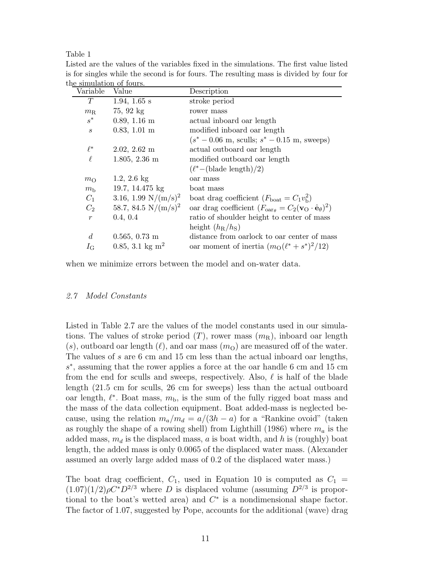Table 1

| ине ѕиншаион ог юшѕ. |                             |                                                                                              |  |  |  |  |  |  |
|----------------------|-----------------------------|----------------------------------------------------------------------------------------------|--|--|--|--|--|--|
| Variable             | Value                       | Description                                                                                  |  |  |  |  |  |  |
| T                    | 1.94, 1.65 $s$              | stroke period                                                                                |  |  |  |  |  |  |
| $m_{\rm R}$          | $75,92 \text{ kg}$          | rower mass                                                                                   |  |  |  |  |  |  |
| $s^*$                | $0.89, 1.16$ m              | actual inboard oar length                                                                    |  |  |  |  |  |  |
| $\boldsymbol{s}$     | $0.83, 1.01 \text{ m}$      | modified inboard oar length                                                                  |  |  |  |  |  |  |
|                      |                             | $(s^* - 0.06 \text{ m}, \text{sculls}; s^* - 0.15 \text{ m}, \text{sweeps})$                 |  |  |  |  |  |  |
| $\ell^*$             | $2.02, 2.62 \text{ m}$      | actual outboard oar length                                                                   |  |  |  |  |  |  |
| $\ell$               | $1.805, 2.36$ m             | modified outboard oar length                                                                 |  |  |  |  |  |  |
|                      |                             | $(\ell^*$ – (blade length)/2)                                                                |  |  |  |  |  |  |
| $m_{\rm O}$          | 1.2, 2.6 $kg$               | oar mass                                                                                     |  |  |  |  |  |  |
| $m_{\rm h}$          | 19.7, 14.475 kg             | boat mass                                                                                    |  |  |  |  |  |  |
| $C_1$                | 3.16, 1.99 $N/(m/s)^2$      | boat drag coefficient $(F_{\text{boat}} = C_1 v_{\text{b}}^2)$                               |  |  |  |  |  |  |
| $C_2$                | 58.7, 84.5 $N/(m/s)^2$      | oar drag coefficient $(F_{\text{oarg}} = C_2(\mathbf{v}_0 \cdot \hat{\mathbf{e}}_\theta)^2)$ |  |  |  |  |  |  |
| $\boldsymbol{r}$     | 0.4, 0.4                    | ratio of shoulder height to center of mass                                                   |  |  |  |  |  |  |
|                      |                             | height $(h_{\rm R}/h_{\rm S})$                                                               |  |  |  |  |  |  |
| $\overline{d}$       | $0.565, 0.73 \text{ m}$     | distance from oarlock to oar center of mass                                                  |  |  |  |  |  |  |
| $I_{\rm G}$          | 0.85, 3.1 kg m <sup>2</sup> | oar moment of inertia $(m_0(\ell^* + s^*)^2/12)$                                             |  |  |  |  |  |  |
|                      |                             |                                                                                              |  |  |  |  |  |  |

Listed are the values of the variables fixed in the simulations. The first value listed is for singles while the second is for fours. The resulting mass is divided by four for the simulation of fours.

when we minimize errors between the model and on-water data.

#### 2.7 Model Constants

Listed in Table 2.7 are the values of the model constants used in our simulations. The values of stroke period  $(T)$ , rower mass  $(m<sub>R</sub>)$ , inboard oar length  $(s)$ , outboard oar length  $(\ell)$ , and oar mass  $(m<sub>O</sub>)$  are measured off of the water. The values of s are 6 cm and 15 cm less than the actual inboard oar lengths, s ∗ , assuming that the rower applies a force at the oar handle 6 cm and 15 cm from the end for sculls and sweeps, respectively. Also,  $\ell$  is half of the blade length (21.5 cm for sculls, 26 cm for sweeps) less than the actual outboard oar length,  $\ell^*$ . Boat mass,  $m_b$ , is the sum of the fully rigged boat mass and the mass of the data collection equipment. Boat added-mass is neglected because, using the relation  $m_a/m_d = a/(3h - a)$  for a "Rankine ovoid" (taken as roughly the shape of a rowing shell) from Lighthill (1986) where  $m_a$  is the added mass,  $m_d$  is the displaced mass, a is boat width, and h is (roughly) boat length, the added mass is only 0.0065 of the displaced water mass. (Alexander assumed an overly large added mass of 0.2 of the displaced water mass.)

The boat drag coefficient,  $C_1$ , used in Equation 10 is computed as  $C_1$  =  $(1.07)(1/2)\rho C^*D^{2/3}$  where D is displaced volume (assuming  $D^{2/3}$  is proportional to the boat's wetted area) and  $C^*$  is a nondimensional shape factor. The factor of 1.07, suggested by Pope, accounts for the additional (wave) drag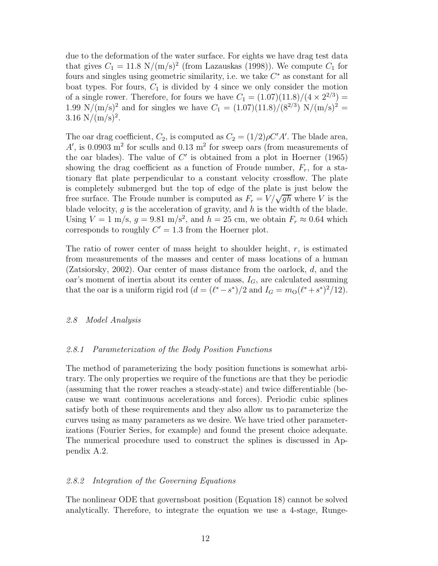due to the deformation of the water surface. For eights we have drag test data that gives  $C_1 = 11.8 \text{ N/(m/s)}^2$  (from Lazauskas (1998)). We compute  $C_1$  for fours and singles using geometric similarity, i.e. we take  $C^*$  as constant for all boat types. For fours,  $C_1$  is divided by 4 since we only consider the motion of a single rower. Therefore, for fours we have  $C_1 = (1.07)(11.8)/(4 \times 2^{2/3}) =$ 1.99 N/(m/s)<sup>2</sup> and for singles we have  $C_1 = (1.07)(11.8)/(8^{2/3})$  N/(m/s)<sup>2</sup> = 3.16  $\rm N/(m/s)^2$ .

The oar drag coefficient,  $C_2$ , is computed as  $C_2 = (1/2)\rho C' A'$ . The blade area,  $A'$ , is 0.0903 m<sup>2</sup> for sculls and 0.13 m<sup>2</sup> for sweep oars (from measurements of the oar blades). The value of  $C'$  is obtained from a plot in Hoerner (1965) showing the drag coefficient as a function of Froude number,  $F_r$ , for a stationary flat plate perpendicular to a constant velocity crossflow. The plate is completely submerged but the top of edge of the plate is just below the free surface. The Froude number is computed as  $F_r = V/\sqrt{gh}$  where V is the blade velocity,  $g$  is the acceleration of gravity, and  $h$  is the width of the blade. Using  $V = 1$  m/s,  $g = 9.81$  m/s<sup>2</sup>, and  $h = 25$  cm, we obtain  $F_r \approx 0.64$  which corresponds to roughly  $C' = 1.3$  from the Hoerner plot.

The ratio of rower center of mass height to shoulder height, r, is estimated from measurements of the masses and center of mass locations of a human (Zatsiorsky, 2002). Oar center of mass distance from the oarlock,  $d$ , and the oar's moment of inertia about its center of mass,  $I_G$ , are calculated assuming that the oar is a uniform rigid rod  $(d = (\ell^* - s^*)/2$  and  $I_G = m_O(\ell^* + s^*)^2/12)$ .

# 2.8 Model Analysis

#### 2.8.1 Parameterization of the Body Position Functions

The method of parameterizing the body position functions is somewhat arbitrary. The only properties we require of the functions are that they be periodic (assuming that the rower reaches a steady-state) and twice differentiable (because we want continuous accelerations and forces). Periodic cubic splines satisfy both of these requirements and they also allow us to parameterize the curves using as many parameters as we desire. We have tried other parameterizations (Fourier Series, for example) and found the present choice adequate. The numerical procedure used to construct the splines is discussed in Appendix A.2.

#### 2.8.2 Integration of the Governing Equations

The nonlinear ODE that governsboat position (Equation 18) cannot be solved analytically. Therefore, to integrate the equation we use a 4-stage, Runge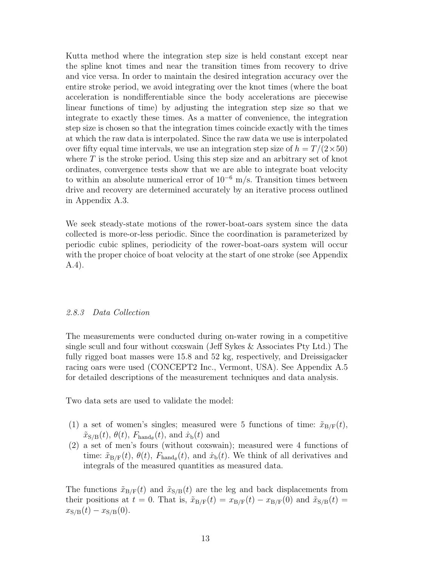Kutta method where the integration step size is held constant except near the spline knot times and near the transition times from recovery to drive and vice versa. In order to maintain the desired integration accuracy over the entire stroke period, we avoid integrating over the knot times (where the boat acceleration is nondifferentiable since the body accelerations are piecewise linear functions of time) by adjusting the integration step size so that we integrate to exactly these times. As a matter of convenience, the integration step size is chosen so that the integration times coincide exactly with the times at which the raw data is interpolated. Since the raw data we use is interpolated over fifty equal time intervals, we use an integration step size of  $h = T/(2 \times 50)$ where  $T$  is the stroke period. Using this step size and an arbitrary set of knot ordinates, convergence tests show that we are able to integrate boat velocity to within an absolute numerical error of  $10^{-6}$  m/s. Transition times between drive and recovery are determined accurately by an iterative process outlined in Appendix A.3.

We seek steady-state motions of the rower-boat-oars system since the data collected is more-or-less periodic. Since the coordination is parameterized by periodic cubic splines, periodicity of the rower-boat-oars system will occur with the proper choice of boat velocity at the start of one stroke (see Appendix A.4).

# 2.8.3 Data Collection

The measurements were conducted during on-water rowing in a competitive single scull and four without coxswain (Jeff Sykes & Associates Pty Ltd.) The fully rigged boat masses were 15.8 and 52 kg, respectively, and Dreissigacker racing oars were used (CONCEPT2 Inc., Vermont, USA). See Appendix A.5 for detailed descriptions of the measurement techniques and data analysis.

Two data sets are used to validate the model:

- (1) a set of women's singles; measured were 5 functions of time:  $\tilde{x}_{B/F}(t)$ ,  $\tilde{x}_{S/B}(t)$ ,  $\theta(t)$ ,  $F_{\text{hand}_{\theta}}(t)$ , and  $\dot{x}_{b}(t)$  and
- (2) a set of men's fours (without coxswain); measured were 4 functions of time:  $\tilde{x}_{\text{B/F}}(t)$ ,  $\theta(t)$ ,  $F_{\text{hand}_{\theta}}(t)$ , and  $\dot{x}_{\text{b}}(t)$ . We think of all derivatives and integrals of the measured quantities as measured data.

The functions  $\tilde{x}_{B/F}(t)$  and  $\tilde{x}_{S/B}(t)$  are the leg and back displacements from their positions at  $t = 0$ . That is,  $\tilde{x}_{B/F}(t) = x_{B/F}(t) - x_{B/F}(0)$  and  $\tilde{x}_{S/B}(t) =$  $x_{S/B}(t) - x_{S/B}(0).$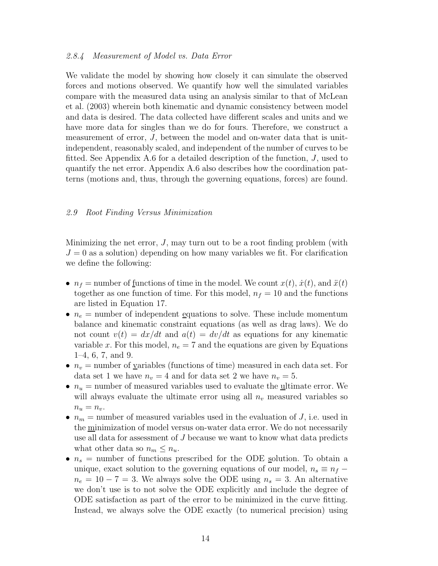#### 2.8.4 Measurement of Model vs. Data Error

We validate the model by showing how closely it can simulate the observed forces and motions observed. We quantify how well the simulated variables compare with the measured data using an analysis similar to that of McLean et al. (2003) wherein both kinematic and dynamic consistency between model and data is desired. The data collected have different scales and units and we have more data for singles than we do for fours. Therefore, we construct a measurement of error, J, between the model and on-water data that is unitindependent, reasonably scaled, and independent of the number of curves to be fitted. See Appendix A.6 for a detailed description of the function, J, used to quantify the net error. Appendix A.6 also describes how the coordination patterns (motions and, thus, through the governing equations, forces) are found.

#### 2.9 Root Finding Versus Minimization

Minimizing the net error,  $J$ , may turn out to be a root finding problem (with  $J = 0$  as a solution) depending on how many variables we fit. For clarification we define the following:

- $n_f$  = number of <u>f</u>unctions of time in the model. We count  $x(t)$ ,  $\dot{x}(t)$ , and  $\ddot{x}(t)$ together as one function of time. For this model,  $n_f = 10$  and the functions are listed in Equation 17.
- $n_e$  = number of independent equations to solve. These include momentum balance and kinematic constraint equations (as well as drag laws). We do not count  $v(t) = dx/dt$  and  $a(t) = dv/dt$  as equations for any kinematic variable x. For this model,  $n_e = 7$  and the equations are given by Equations 1–4, 6, 7, and 9.
- $n_v$  = number of variables (functions of time) measured in each data set. For data set 1 we have  $n_v = 4$  and for data set 2 we have  $n_v = 5$ .
- $n_u$  = number of measured variables used to evaluate the ultimate error. We will always evaluate the ultimate error using all  $n<sub>v</sub>$  measured variables so  $n_u = n_v$ .
- $n_m$  = number of measured variables used in the evaluation of J, i.e. used in the minimization of model versus on-water data error. We do not necessarily use all data for assessment of J because we want to know what data predicts what other data so  $n_m \leq n_u$ .
- $n_s$  = number of functions prescribed for the ODE solution. To obtain a unique, exact solution to the governing equations of our model,  $n_s \equiv n_f$  $n_e = 10 - 7 = 3$ . We always solve the ODE using  $n_s = 3$ . An alternative we don't use is to not solve the ODE explicitly and include the degree of ODE satisfaction as part of the error to be minimized in the curve fitting. Instead, we always solve the ODE exactly (to numerical precision) using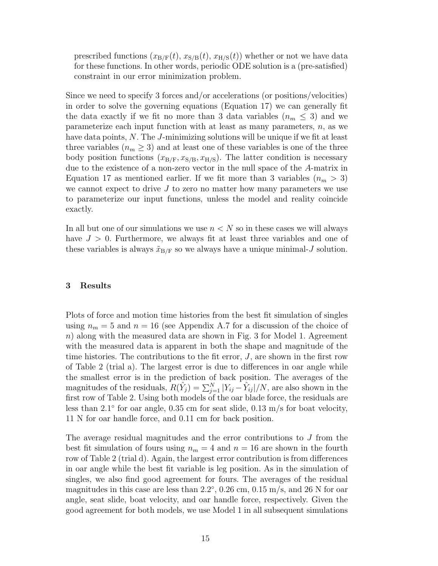prescribed functions  $(x_{\text{B/F}}(t), x_{\text{S/B}}(t), x_{\text{H/S}}(t))$  whether or not we have data for these functions. In other words, periodic ODE solution is a (pre-satisfied) constraint in our error minimization problem.

Since we need to specify 3 forces and/or accelerations (or positions/velocities) in order to solve the governing equations (Equation 17) we can generally fit the data exactly if we fit no more than 3 data variables  $(n_m \leq 3)$  and we parameterize each input function with at least as many parameters,  $n$ , as we have data points, N. The J-minimizing solutions will be unique if we fit at least three variables  $(n_m \geq 3)$  and at least one of these variables is one of the three body position functions  $(x_{\text{B/F}}, x_{\text{S/B}}, x_{\text{H/S}})$ . The latter condition is necessary due to the existence of a non-zero vector in the null space of the A-matrix in Equation 17 as mentioned earlier. If we fit more than 3 variables  $(n_m > 3)$ we cannot expect to drive  $J$  to zero no matter how many parameters we use to parameterize our input functions, unless the model and reality coincide exactly.

In all but one of our simulations we use  $n < N$  so in these cases we will always have  $J > 0$ . Furthermore, we always fit at least three variables and one of these variables is always  $\tilde{x}_{B/F}$  so we always have a unique minimal-J solution.

# 3 Results

Plots of force and motion time histories from the best fit simulation of singles using  $n_m = 5$  and  $n = 16$  (see Appendix A.7 for a discussion of the choice of n) along with the measured data are shown in Fig. 3 for Model 1. Agreement with the measured data is apparent in both the shape and magnitude of the time histories. The contributions to the fit error,  $J$ , are shown in the first row of Table 2 (trial a). The largest error is due to differences in oar angle while the smallest error is in the prediction of back position. The averages of the magnitudes of the residuals,  $R(\hat{Y}_j) = \sum_{j=1}^{N} |Y_{ij} - \hat{Y}_{ij}|/N$ , are also shown in the first row of Table 2. Using both models of the oar blade force, the residuals are less than 2.1° for oar angle, 0.35 cm for seat slide, 0.13 m/s for boat velocity, 11 N for oar handle force, and 0.11 cm for back position.

The average residual magnitudes and the error contributions to J from the best fit simulation of fours using  $n_m = 4$  and  $n = 16$  are shown in the fourth row of Table 2 (trial d). Again, the largest error contribution is from differences in oar angle while the best fit variable is leg position. As in the simulation of singles, we also find good agreement for fours. The averages of the residual magnitudes in this case are less than  $2.2^{\circ}$ ,  $0.26$  cm,  $0.15$  m/s, and  $26$  N for oar angle, seat slide, boat velocity, and oar handle force, respectively. Given the good agreement for both models, we use Model 1 in all subsequent simulations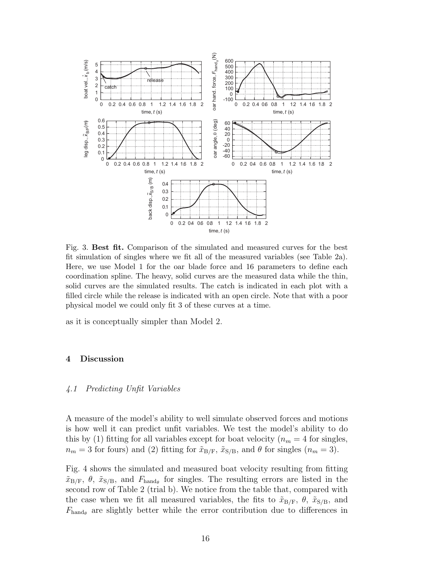

Fig. 3. Best fit. Comparison of the simulated and measured curves for the best fit simulation of singles where we fit all of the measured variables (see Table 2a). Here, we use Model 1 for the oar blade force and 16 parameters to define each coordination spline. The heavy, solid curves are the measured data while the thin, solid curves are the simulated results. The catch is indicated in each plot with a filled circle while the release is indicated with an open circle. Note that with a poor physical model we could only fit 3 of these curves at a time.

as it is conceptually simpler than Model 2.

# 4 Discussion

#### 4.1 Predicting Unfit Variables

A measure of the model's ability to well simulate observed forces and motions is how well it can predict unfit variables. We test the model's ability to do this by (1) fitting for all variables except for boat velocity ( $n_m = 4$  for singles,  $n_m = 3$  for fours) and (2) fitting for  $\tilde{x}_{B/F}$ ,  $\tilde{x}_{S/B}$ , and  $\theta$  for singles  $(n_m = 3)$ .

Fig. 4 shows the simulated and measured boat velocity resulting from fitting  $\tilde{x}_{\text{B/F}}$ ,  $\theta$ ,  $\tilde{x}_{\text{S/B}}$ , and  $F_{\text{hand}_{\theta}}$  for singles. The resulting errors are listed in the second row of Table 2 (trial b). We notice from the table that, compared with the case when we fit all measured variables, the fits to  $\tilde{x}_{B/F}$ ,  $\theta$ ,  $\tilde{x}_{S/B}$ , and  $F_{\text{hand}_{\theta}}$  are slightly better while the error contribution due to differences in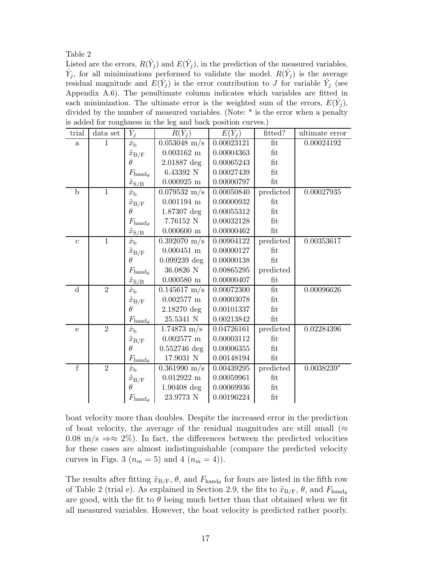Table 2

Listed are the errors,  $R(\hat{Y}_j)$  and  $E(\hat{Y}_j)$ , in the prediction of the measured variables,  $\hat{Y}_j$ , for all minimizations performed to validate the model.  $R(\hat{Y}_j)$  is the average residual magnitude and  $E(\hat{Y}_j)$  is the error contribution to J for variable  $\hat{Y}_j$  (see Appendix A.6). The penultimate column indicates which variables are fitted in each minimization. The ultimate error is the weighted sum of the errors,  $E(\hat{Y}_j)$ , divided by the number of measured variables. (Note: \* is the error when a penalty is added for roughness in the leg and back position curves.)

| trial          | data set       | $\hat{Y}_i$                         | $R(\hat{Y}_i)$         | $E(\hat{Y}_i)$ | fitted?              | ultimate error     |
|----------------|----------------|-------------------------------------|------------------------|----------------|----------------------|--------------------|
| $\mathbf{a}$   | $\mathbf{1}$   | $\dot{x}_{\rm b}$                   | $0.053048 \text{ m/s}$ | 0.00023121     | fit                  | 0.00024192         |
|                |                | $\tilde{x}_{\text{B/F}}$            | $0.003162 \text{ m}$   | 0.00004363     | fit                  |                    |
|                |                | θ                                   | $2.01887$ deg          | 0.00065243     | fit                  |                    |
|                |                | $F_{{\rm hand}_{\theta}}$           | 6.43392 N              | 0.00027439     | fit                  |                    |
|                |                | $\tilde{x}_{\rm S/\!\underline{B}}$ | $0.000925$ m           | 0.00000797     | $\operatorname{fit}$ |                    |
| $\mathbf b$    | $\mathbf{1}$   | $\dot{x}_{\rm h}$                   | $0.079532 \text{ m/s}$ | 0.00050840     | predicted            | 0.00027935         |
|                |                | $\tilde{x}_{\rm B/F}$               | $0.001194$ m           | 0.00000932     | fit                  |                    |
|                |                | θ                                   | 1.87307 deg            | 0.00055312     | fit                  |                    |
|                |                | $F_{\text{hand}_{\theta}}$          | $7.76152$ N            | 0.00032128     | fit                  |                    |
|                |                | $\tilde{x}_{\rm S/B}$               | $0.000600$ m           | 0.00000462     | fit                  |                    |
| $\mathbf{c}$   | $\overline{1}$ | $\dot{x}_{\rm b}$                   | $0.392070 \text{ m/s}$ | 0.00904122     | predicted            | 0.00353617         |
|                |                | $\tilde{x}_{\text{B/F}}$            | $0.000451$ m           | 0.00000127     | fit                  |                    |
|                |                | $\theta$                            | $0.099239 \deg$        | 0.00000138     | fit                  |                    |
|                |                | $F_{{\rm hand}_{\theta}}$           | 36.0826 N              | 0.00865295     | predicted            |                    |
|                |                | $\tilde{x}_{\mathrm{S/B}}$          | $0.000580$ m           | 0.00000407     | fit                  |                    |
| $\rm d$        | $\overline{2}$ | $\dot{x}_{\rm b}$                   | $0.145617 \;{\rm m/s}$ | 0.00072300     | $\operatorname{fit}$ | 0.00096626         |
|                |                | $\tilde{x}_{\rm B/F}$               | $0.002577~\mathrm{m}$  | 0.00003078     | fit                  |                    |
|                |                | θ                                   | $2.18270 \text{ deg}$  | 0.00101337     | fit                  |                    |
|                |                | $F_{\rm hand}_{\theta}$             | 25.5341 N              | 0.00213842     | fit                  |                    |
| $\mathbf e$    | $\overline{2}$ | $\dot{x}_{\rm b}$                   | $1.74873 \text{ m/s}$  | 0.04726161     | predicted            | 0.02284396         |
|                |                | $\tilde{x}_{\rm B/F}$               | $0.002577$ m           | 0.00003112     | fit                  |                    |
|                |                | $\theta$                            | $0.552746 \text{ deg}$ | 0.00006355     | fit                  |                    |
|                |                | $F_{{\rm hand}_{\theta}}$           | 17.9031 N              | 0.00148194     | fit                  |                    |
| $\overline{f}$ | $\overline{2}$ | $\dot{x}_{\rm b}$                   | $0.361990 \text{ m/s}$ | 0.00439295     | predicted            | $0.0038239^{\ast}$ |
|                |                | $\tilde{x}_{\text{B/F}}$            | $0.012922 \text{ m}$   | 0.00059961     | fit                  |                    |
|                |                | Ĥ                                   | $1.90408 \deg$         | 0.00069936     | fit                  |                    |
|                |                | $F_{{\rm hand}_{\theta}}$           | 23.9773 N              | 0.00196224     | fit                  |                    |

boat velocity more than doubles. Despite the increased error in the prediction of boat velocity, the average of the residual magnitudes are still small ( $\approx$ 0.08 m/s  $\Rightarrow \approx 2\%$ ). In fact, the differences between the predicted velocities for these cases are almost indistinguishable (compare the predicted velocity curves in Figs. 3  $(n_m = 5)$  and 4  $(n_m = 4)$ .

The results after fitting  $\tilde{x}_{B/F}$ ,  $\theta$ , and  $F_{hand_{\theta}}$  for fours are listed in the fifth row of Table 2 (trial e). As explained in Section 2.9, the fits to  $\tilde{x}_{B/F}$ ,  $\theta$ , and  $F_{hand_{\theta}}$ are good, with the fit to  $\theta$  being much better than that obtained when we fit all measured variables. However, the boat velocity is predicted rather poorly.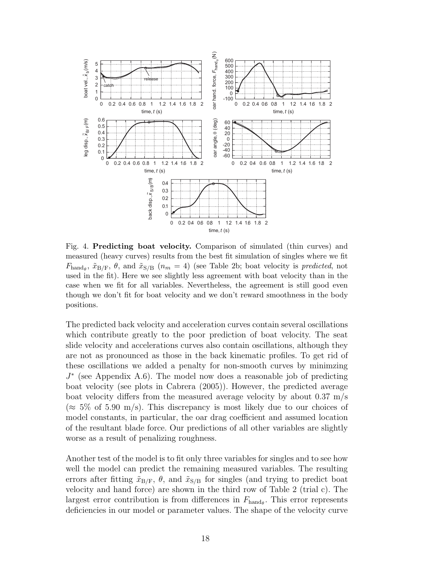

Fig. 4. Predicting boat velocity. Comparison of simulated (thin curves) and measured (heavy curves) results from the best fit simulation of singles where we fit  $F_{\text{hand}_{\theta}}$ ,  $\tilde{x}_{B/F}$ ,  $\theta$ , and  $\tilde{x}_{S/B}$  ( $n_m = 4$ ) (see Table 2b; boat velocity is *predicted*, not used in the fit). Here we see slightly less agreement with boat velocity than in the case when we fit for all variables. Nevertheless, the agreement is still good even though we don't fit for boat velocity and we don't reward smoothness in the body positions.

The predicted back velocity and acceleration curves contain several oscillations which contribute greatly to the poor prediction of boat velocity. The seat slide velocity and accelerations curves also contain oscillations, although they are not as pronounced as those in the back kinematic profiles. To get rid of these oscillations we added a penalty for non-smooth curves by minimzing J ∗ (see Appendix A.6). The model now does a reasonable job of predicting boat velocity (see plots in Cabrera (2005)). However, the predicted average boat velocity differs from the measured average velocity by about 0.37 m/s  $(\approx 5\% \text{ of } 5.90 \text{ m/s})$ . This discrepancy is most likely due to our choices of model constants, in particular, the oar drag coefficient and assumed location of the resultant blade force. Our predictions of all other variables are slightly worse as a result of penalizing roughness.

Another test of the model is to fit only three variables for singles and to see how well the model can predict the remaining measured variables. The resulting errors after fitting  $\tilde{x}_{B/F}$ ,  $\theta$ , and  $\tilde{x}_{S/B}$  for singles (and trying to predict boat velocity and hand force) are shown in the third row of Table 2 (trial c). The largest error contribution is from differences in  $F_{\text{hand}_{\theta}}$ . This error represents deficiencies in our model or parameter values. The shape of the velocity curve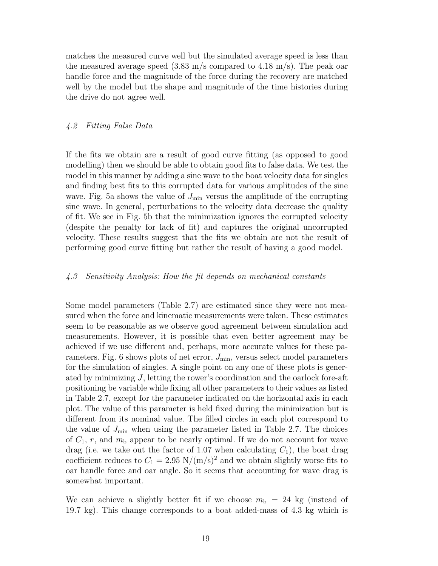matches the measured curve well but the simulated average speed is less than the measured average speed  $(3.83 \text{ m/s}$  compared to 4.18 m/s). The peak oar handle force and the magnitude of the force during the recovery are matched well by the model but the shape and magnitude of the time histories during the drive do not agree well.

# 4.2 Fitting False Data

If the fits we obtain are a result of good curve fitting (as opposed to good modelling) then we should be able to obtain good fits to false data. We test the model in this manner by adding a sine wave to the boat velocity data for singles and finding best fits to this corrupted data for various amplitudes of the sine wave. Fig. 5a shows the value of  $J_{\text{min}}$  versus the amplitude of the corrupting sine wave. In general, perturbations to the velocity data decrease the quality of fit. We see in Fig. 5b that the minimization ignores the corrupted velocity (despite the penalty for lack of fit) and captures the original uncorrupted velocity. These results suggest that the fits we obtain are not the result of performing good curve fitting but rather the result of having a good model.

# 4.3 Sensitivity Analysis: How the fit depends on mechanical constants

Some model parameters (Table 2.7) are estimated since they were not measured when the force and kinematic measurements were taken. These estimates seem to be reasonable as we observe good agreement between simulation and measurements. However, it is possible that even better agreement may be achieved if we use different and, perhaps, more accurate values for these parameters. Fig. 6 shows plots of net error,  $J_{\text{min}}$ , versus select model parameters for the simulation of singles. A single point on any one of these plots is generated by minimizing  $J$ , letting the rower's coordination and the oarlock fore-aft positioning be variable while fixing all other parameters to their values as listed in Table 2.7, except for the parameter indicated on the horizontal axis in each plot. The value of this parameter is held fixed during the minimization but is different from its nominal value. The filled circles in each plot correspond to the value of  $J_{\text{min}}$  when using the parameter listed in Table 2.7. The choices of  $C_1$ , r, and  $m<sub>b</sub>$  appear to be nearly optimal. If we do not account for wave drag (i.e. we take out the factor of 1.07 when calculating  $C_1$ ), the boat drag coefficient reduces to  $C_1 = 2.95$  N/(m/s)<sup>2</sup> and we obtain slightly worse fits to oar handle force and oar angle. So it seems that accounting for wave drag is somewhat important.

We can achieve a slightly better fit if we choose  $m_{\rm b} = 24$  kg (instead of 19.7 kg). This change corresponds to a boat added-mass of 4.3 kg which is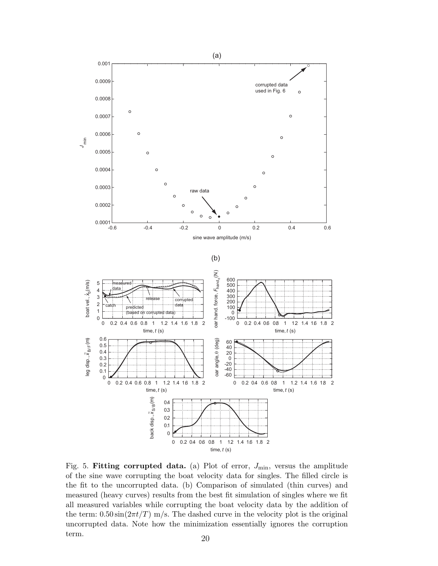

Fig. 5. Fitting corrupted data. (a) Plot of error,  $J_{\text{min}}$ , versus the amplitude of the sine wave corrupting the boat velocity data for singles. The filled circle is the fit to the uncorrupted data. (b) Comparison of simulated (thin curves) and measured (heavy curves) results from the best fit simulation of singles where we fit all measured variables while corrupting the boat velocity data by the addition of the term:  $0.50 \sin(2\pi t/T)$  m/s. The dashed curve in the velocity plot is the original uncorrupted data. Note how the minimization essentially ignores the corruption term. 20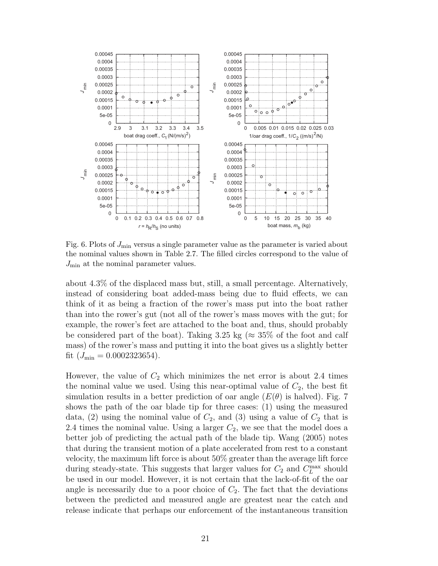

Fig. 6. Plots of  $J_{\text{min}}$  versus a single parameter value as the parameter is varied about the nominal values shown in Table 2.7. The filled circles correspond to the value of  $J_{\text{min}}$  at the nominal parameter values.

about 4.3% of the displaced mass but, still, a small percentage. Alternatively, instead of considering boat added-mass being due to fluid effects, we can think of it as being a fraction of the rower's mass put into the boat rather than into the rower's gut (not all of the rower's mass moves with the gut; for example, the rower's feet are attached to the boat and, thus, should probably be considered part of the boat). Taking 3.25 kg ( $\approx 35\%$  of the foot and calf mass) of the rower's mass and putting it into the boat gives us a slightly better fit  $(J_{\text{min}} = 0.0002323654)$ .

However, the value of  $C_2$  which minimizes the net error is about 2.4 times the nominal value we used. Using this near-optimal value of  $C_2$ , the best fit simulation results in a better prediction of oar angle  $(E(\theta))$  is halved). Fig. 7 shows the path of the oar blade tip for three cases: (1) using the measured data, (2) using the nominal value of  $C_2$ , and (3) using a value of  $C_2$  that is 2.4 times the nominal value. Using a larger  $C_2$ , we see that the model does a better job of predicting the actual path of the blade tip. Wang (2005) notes that during the transient motion of a plate accelerated from rest to a constant velocity, the maximum lift force is about 50% greater than the average lift force during steady-state. This suggests that larger values for  $C_2$  and  $C_L^{\max}$  should be used in our model. However, it is not certain that the lack-of-fit of the oar angle is necessarily due to a poor choice of  $C_2$ . The fact that the deviations between the predicted and measured angle are greatest near the catch and release indicate that perhaps our enforcement of the instantaneous transition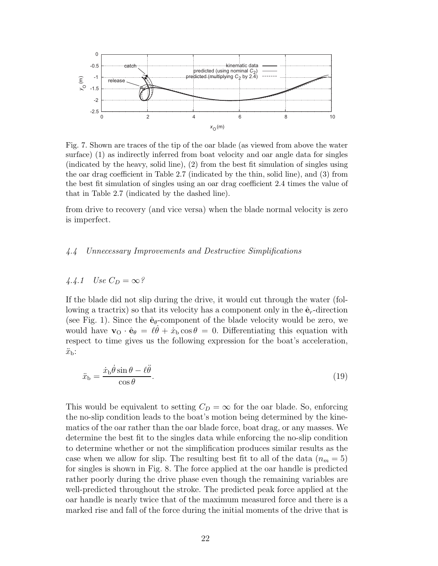

Fig. 7. Shown are traces of the tip of the oar blade (as viewed from above the water surface) (1) as indirectly inferred from boat velocity and oar angle data for singles (indicated by the heavy, solid line), (2) from the best fit simulation of singles using the oar drag coefficient in Table 2.7 (indicated by the thin, solid line), and (3) from the best fit simulation of singles using an oar drag coefficient 2.4 times the value of that in Table 2.7 (indicated by the dashed line).

from drive to recovery (and vice versa) when the blade normal velocity is zero is imperfect.

# 4.4 Unnecessary Improvements and Destructive Simplifications

# 4.4.1 Use  $C_D = \infty$ ?

If the blade did not slip during the drive, it would cut through the water (following a tractrix) so that its velocity has a component only in the  $\hat{\mathbf{e}}_r$ -direction (see Fig. 1). Since the  $\hat{\mathbf{e}}_{\theta}$ -component of the blade velocity would be zero, we would have  $\mathbf{v}_0 \cdot \hat{\mathbf{e}}_{\theta} = \ell \dot{\theta} + \dot{x}_b \cos \theta = 0$ . Differentiating this equation with respect to time gives us the following expression for the boat's acceleration,  $\ddot{x}_{\rm b}$ :

$$
\ddot{x}_{\rm b} = \frac{\dot{x}_{\rm b}\dot{\theta}\sin\theta - \ell\ddot{\theta}}{\cos\theta}.\tag{19}
$$

This would be equivalent to setting  $C_D = \infty$  for the oar blade. So, enforcing the no-slip condition leads to the boat's motion being determined by the kinematics of the oar rather than the oar blade force, boat drag, or any masses. We determine the best fit to the singles data while enforcing the no-slip condition to determine whether or not the simplification produces similar results as the case when we allow for slip. The resulting best fit to all of the data  $(n_m = 5)$ for singles is shown in Fig. 8. The force applied at the oar handle is predicted rather poorly during the drive phase even though the remaining variables are well-predicted throughout the stroke. The predicted peak force applied at the oar handle is nearly twice that of the maximum measured force and there is a marked rise and fall of the force during the initial moments of the drive that is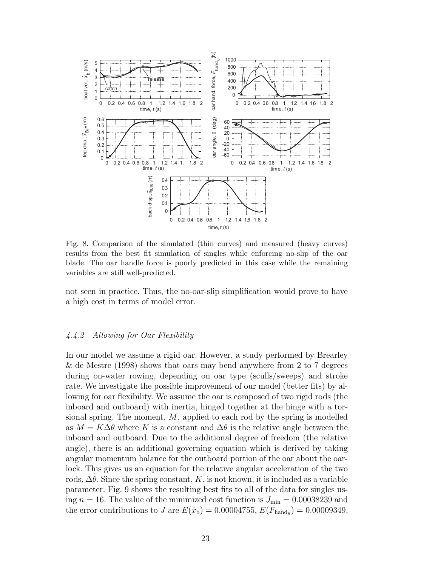

Fig. 8. Comparison of the simulated (thin curves) and measured (heavy curves) results from the best fit simulation of singles while enforcing no-slip of the oar blade. The oar handle force is poorly predicted in this case while the remaining variables are still well-predicted.

not seen in practice. Thus, the no-oar-slip simplification would prove to have a high cost in terms of model error.

# 4.4.2 Allowing for Oar Flexibility

In our model we assume a rigid oar. However, a study performed by Brearley & de Mestre (1998) shows that oars may bend anywhere from 2 to 7 degrees during on-water rowing, depending on oar type (sculls/sweeps) and stroke rate. We investigate the possible improvement of our model (better fits) by allowing for oar flexibility. We assume the oar is composed of two rigid rods (the inboard and outboard) with inertia, hinged together at the hinge with a torsional spring. The moment,  $M$ , applied to each rod by the spring is modelled as  $M = K\Delta\theta$  where K is a constant and  $\Delta\theta$  is the relative angle between the inboard and outboard. Due to the additional degree of freedom (the relative angle), there is an additional governing equation which is derived by taking angular momentum balance for the outboard portion of the oar about the oarlock. This gives us an equation for the relative angular acceleration of the two rods,  $\Delta\theta$ . Since the spring constant, K, is not known, it is included as a variable parameter. Fig. 9 shows the resulting best fits to all of the data for singles using  $n = 16$ . The value of the minimized cost function is  $J_{\text{min}} = 0.00038239$  and the error contributions to J are  $E(\dot{x}_{\rm b}) = 0.00004755, E(F_{\rm hand}_{\theta}) = 0.00009349,$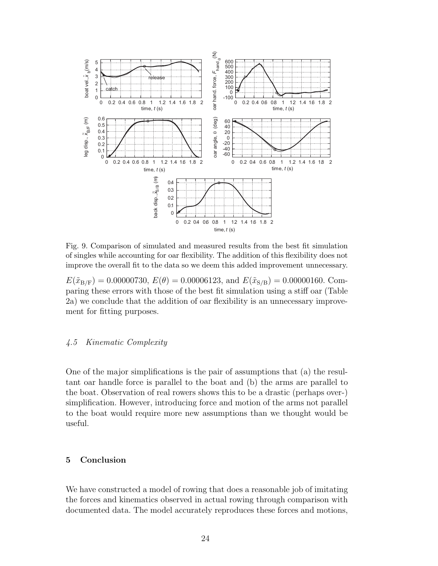

Fig. 9. Comparison of simulated and measured results from the best fit simulation of singles while accounting for oar flexibility. The addition of this flexibility does not improve the overall fit to the data so we deem this added improvement unnecessary.

 $E(\tilde{x}_{B/F}) = 0.00000730, E(\theta) = 0.00006123$ , and  $E(\tilde{x}_{S/B}) = 0.00000160$ . Comparing these errors with those of the best fit simulation using a stiff oar (Table 2a) we conclude that the addition of oar flexibility is an unnecessary improvement for fitting purposes.

# 4.5 Kinematic Complexity

One of the major simplifications is the pair of assumptions that (a) the resultant oar handle force is parallel to the boat and (b) the arms are parallel to the boat. Observation of real rowers shows this to be a drastic (perhaps over-) simplification. However, introducing force and motion of the arms not parallel to the boat would require more new assumptions than we thought would be useful.

# 5 Conclusion

We have constructed a model of rowing that does a reasonable job of imitating the forces and kinematics observed in actual rowing through comparison with documented data. The model accurately reproduces these forces and motions,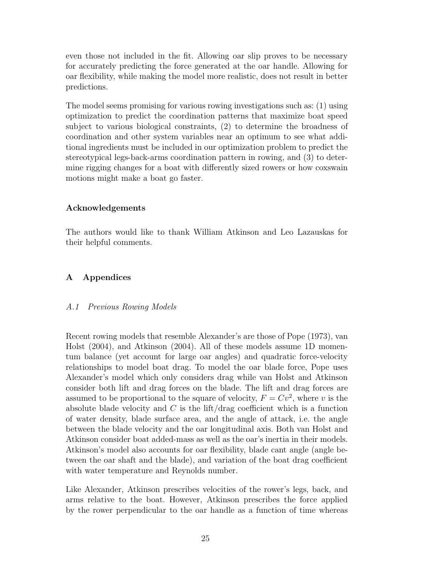even those not included in the fit. Allowing oar slip proves to be necessary for accurately predicting the force generated at the oar handle. Allowing for oar flexibility, while making the model more realistic, does not result in better predictions.

The model seems promising for various rowing investigations such as: (1) using optimization to predict the coordination patterns that maximize boat speed subject to various biological constraints, (2) to determine the broadness of coordination and other system variables near an optimum to see what additional ingredients must be included in our optimization problem to predict the stereotypical legs-back-arms coordination pattern in rowing, and (3) to determine rigging changes for a boat with differently sized rowers or how coxswain motions might make a boat go faster.

# Acknowledgements

The authors would like to thank William Atkinson and Leo Lazauskas for their helpful comments.

# A Appendices

# A.1 Previous Rowing Models

Recent rowing models that resemble Alexander's are those of Pope (1973), van Holst (2004), and Atkinson (2004). All of these models assume 1D momentum balance (yet account for large oar angles) and quadratic force-velocity relationships to model boat drag. To model the oar blade force, Pope uses Alexander's model which only considers drag while van Holst and Atkinson consider both lift and drag forces on the blade. The lift and drag forces are assumed to be proportional to the square of velocity,  $F = Cv^2$ , where v is the absolute blade velocity and  $C$  is the lift/drag coefficient which is a function of water density, blade surface area, and the angle of attack, i.e. the angle between the blade velocity and the oar longitudinal axis. Both van Holst and Atkinson consider boat added-mass as well as the oar's inertia in their models. Atkinson's model also accounts for oar flexibility, blade cant angle (angle between the oar shaft and the blade), and variation of the boat drag coefficient with water temperature and Reynolds number.

Like Alexander, Atkinson prescribes velocities of the rower's legs, back, and arms relative to the boat. However, Atkinson prescribes the force applied by the rower perpendicular to the oar handle as a function of time whereas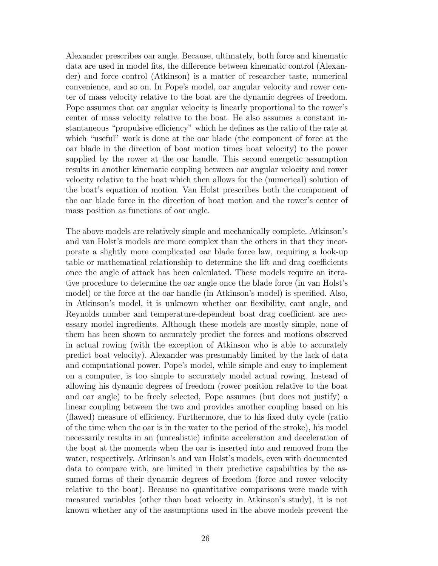Alexander prescribes oar angle. Because, ultimately, both force and kinematic data are used in model fits, the difference between kinematic control (Alexander) and force control (Atkinson) is a matter of researcher taste, numerical convenience, and so on. In Pope's model, oar angular velocity and rower center of mass velocity relative to the boat are the dynamic degrees of freedom. Pope assumes that oar angular velocity is linearly proportional to the rower's center of mass velocity relative to the boat. He also assumes a constant instantaneous "propulsive efficiency" which he defines as the ratio of the rate at which "useful" work is done at the oar blade (the component of force at the oar blade in the direction of boat motion times boat velocity) to the power supplied by the rower at the oar handle. This second energetic assumption results in another kinematic coupling between oar angular velocity and rower velocity relative to the boat which then allows for the (numerical) solution of the boat's equation of motion. Van Holst prescribes both the component of the oar blade force in the direction of boat motion and the rower's center of mass position as functions of oar angle.

The above models are relatively simple and mechanically complete. Atkinson's and van Holst's models are more complex than the others in that they incorporate a slightly more complicated oar blade force law, requiring a look-up table or mathematical relationship to determine the lift and drag coefficients once the angle of attack has been calculated. These models require an iterative procedure to determine the oar angle once the blade force (in van Holst's model) or the force at the oar handle (in Atkinson's model) is specified. Also, in Atkinson's model, it is unknown whether oar flexibility, cant angle, and Reynolds number and temperature-dependent boat drag coefficient are necessary model ingredients. Although these models are mostly simple, none of them has been shown to accurately predict the forces and motions observed in actual rowing (with the exception of Atkinson who is able to accurately predict boat velocity). Alexander was presumably limited by the lack of data and computational power. Pope's model, while simple and easy to implement on a computer, is too simple to accurately model actual rowing. Instead of allowing his dynamic degrees of freedom (rower position relative to the boat and oar angle) to be freely selected, Pope assumes (but does not justify) a linear coupling between the two and provides another coupling based on his (flawed) measure of efficiency. Furthermore, due to his fixed duty cycle (ratio of the time when the oar is in the water to the period of the stroke), his model necessarily results in an (unrealistic) infinite acceleration and deceleration of the boat at the moments when the oar is inserted into and removed from the water, respectively. Atkinson's and van Holst's models, even with documented data to compare with, are limited in their predictive capabilities by the assumed forms of their dynamic degrees of freedom (force and rower velocity relative to the boat). Because no quantitative comparisons were made with measured variables (other than boat velocity in Atkinson's study), it is not known whether any of the assumptions used in the above models prevent the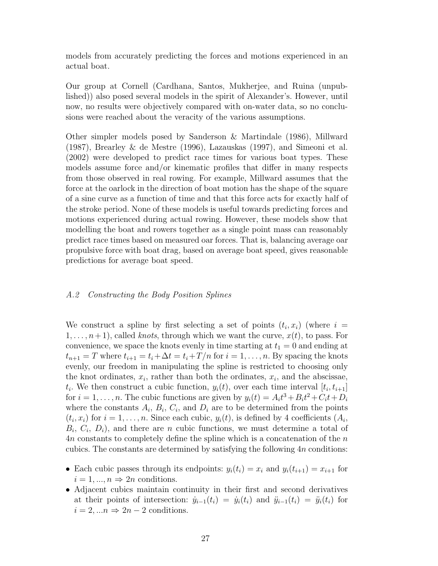models from accurately predicting the forces and motions experienced in an actual boat.

Our group at Cornell (Cardhana, Santos, Mukherjee, and Ruina (unpublished)) also posed several models in the spirit of Alexander's. However, until now, no results were objectively compared with on-water data, so no conclusions were reached about the veracity of the various assumptions.

Other simpler models posed by Sanderson & Martindale (1986), Millward (1987), Brearley & de Mestre (1996), Lazauskas (1997), and Simeoni et al. (2002) were developed to predict race times for various boat types. These models assume force and/or kinematic profiles that differ in many respects from those observed in real rowing. For example, Millward assumes that the force at the oarlock in the direction of boat motion has the shape of the square of a sine curve as a function of time and that this force acts for exactly half of the stroke period. None of these models is useful towards predicting forces and motions experienced during actual rowing. However, these models show that modelling the boat and rowers together as a single point mass can reasonably predict race times based on measured oar forces. That is, balancing average oar propulsive force with boat drag, based on average boat speed, gives reasonable predictions for average boat speed.

# A.2 Constructing the Body Position Splines

We construct a spline by first selecting a set of points  $(t_i, x_i)$  (where  $i =$  $1, \ldots, n+1$ , called knots, through which we want the curve,  $x(t)$ , to pass. For convenience, we space the knots evenly in time starting at  $t_1 = 0$  and ending at  $t_{n+1} = T$  where  $t_{i+1} = t_i + \Delta t = t_i + T/n$  for  $i = 1, \ldots, n$ . By spacing the knots evenly, our freedom in manipulating the spline is restricted to choosing only the knot ordinates,  $x_i$ , rather than both the ordinates,  $x_i$ , and the abscissae,  $t_i$ . We then construct a cubic function,  $y_i(t)$ , over each time interval  $[t_i, t_{i+1}]$ for  $i = 1, \ldots, n$ . The cubic functions are given by  $y_i(t) = A_i t^3 + B_i t^2 + C_i t + D_i$ where the constants  $A_i$ ,  $B_i$ ,  $C_i$ , and  $D_i$  are to be determined from the points  $(t_i, x_i)$  for  $i = 1, \ldots, n$ . Since each cubic,  $y_i(t)$ , is defined by 4 coefficients  $(A_i,$  $B_i, C_i, D_i$ , and there are *n* cubic functions, we must determine a total of An constants to completely define the spline which is a concatenation of the n cubics. The constants are determined by satisfying the following 4n conditions:

- Each cubic passes through its endpoints:  $y_i(t_i) = x_i$  and  $y_i(t_{i+1}) = x_{i+1}$  for  $i = 1, ..., n \Rightarrow 2n$  conditions.
- Adjacent cubics maintain continuity in their first and second derivatives at their points of intersection:  $\dot{y}_{i-1}(t_i) = \dot{y}_i(t_i)$  and  $\ddot{y}_{i-1}(t_i) = \ddot{y}_i(t_i)$  for  $i = 2, \ldots n \Rightarrow 2n - 2$  conditions.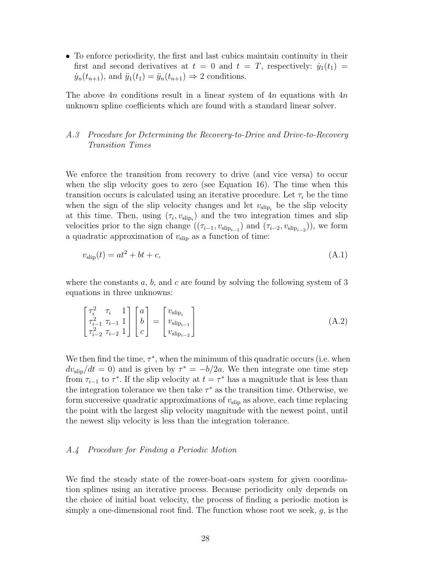• To enforce periodicity, the first and last cubics maintain continuity in their first and second derivatives at  $t = 0$  and  $t = T$ , respectively:  $\dot{y}_1(t_1) =$  $\dot{y}_n(t_{n+1}),$  and  $\ddot{y}_1(t_1) = \ddot{y}_n(t_{n+1}) \Rightarrow 2$  conditions.

The above 4n conditions result in a linear system of 4n equations with  $4n$ unknown spline coefficients which are found with a standard linear solver.

# A.3 Procedure for Determining the Recovery-to-Drive and Drive-to-Recovery Transition Times

We enforce the transition from recovery to drive (and vice versa) to occur when the slip velocity goes to zero (see Equation 16). The time when this transition occurs is calculated using an iterative procedure. Let  $\tau_i$  be the time when the sign of the slip velocity changes and let  $v_{\text{slip}_i}$  be the slip velocity at this time. Then, using  $(\tau_i, v_{\text{slip}_i})$  and the two integration times and slip velocities prior to the sign change  $((\tau_{i-1}, v_{\text{slip}_{i-1}})$  and  $(\tau_{i-2}, v_{\text{slip}_{i-2}})$ , we form a quadratic approximation of  $v_{\text{slip}}$  as a function of time:

$$
v_{\rm slip}(t) = at^2 + bt + c,\tag{A.1}
$$

where the constants  $a, b$ , and  $c$  are found by solving the following system of 3 equations in three unknowns:

$$
\begin{bmatrix}\n\tau_i^2 & \tau_i & 1 \\
\tau_{i-1}^2 & \tau_{i-1} & 1 \\
\tau_{i-2}^2 & \tau_{i-2} & 1\n\end{bmatrix}\n\begin{bmatrix}\na \\
b \\
c\n\end{bmatrix} =\n\begin{bmatrix}\nv_{\text{slip}_i} \\
v_{\text{slip}_{i-1}} \\
v_{\text{slip}_{i-2}}\n\end{bmatrix}
$$
\n(A.2)

We then find the time,  $\tau^*$ , when the minimum of this quadratic occurs (i.e. when  $dv_{\text{slip}}/dt = 0$ ) and is given by  $\tau^* = -b/2a$ . We then integrate one time step from  $\tau_{i-1}$  to  $\tau^*$ . If the slip velocity at  $t = \tau^*$  has a magnitude that is less than the integration tolerance we then take  $\tau^*$  as the transition time. Otherwise, we form successive quadratic approximations of  $v_{\rm slip}$  as above, each time replacing the point with the largest slip velocity magnitude with the newest point, until the newest slip velocity is less than the integration tolerance.

# A.4 Procedure for Finding a Periodic Motion

We find the steady state of the rower-boat-oars system for given coordination splines using an iterative process. Because periodicity only depends on the choice of initial boat velocity, the process of finding a periodic motion is simply a one-dimensional root find. The function whose root we seek,  $g$ , is the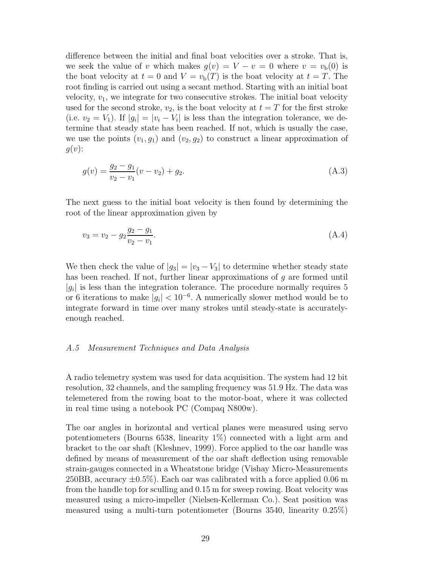difference between the initial and final boat velocities over a stroke. That is, we seek the value of v which makes  $g(v) = V - v = 0$  where  $v = v<sub>b</sub>(0)$  is the boat velocity at  $t = 0$  and  $V = v<sub>b</sub>(T)$  is the boat velocity at  $t = T$ . The root finding is carried out using a secant method. Starting with an initial boat velocity,  $v_1$ , we integrate for two consecutive strokes. The initial boat velocity used for the second stroke,  $v_2$ , is the boat velocity at  $t = T$  for the first stroke (i.e.  $v_2 = V_1$ ). If  $|g_i| = |v_i - V_i|$  is less than the integration tolerance, we determine that steady state has been reached. If not, which is usually the case, we use the points  $(v_1, g_1)$  and  $(v_2, g_2)$  to construct a linear approximation of  $g(v)$ :

$$
g(v) = \frac{g_2 - g_1}{v_2 - v_1}(v - v_2) + g_2.
$$
\n(A.3)

The next guess to the initial boat velocity is then found by determining the root of the linear approximation given by

$$
v_3 = v_2 - g_2 \frac{g_2 - g_1}{v_2 - v_1}.
$$
\n(A.4)

We then check the value of  $|g_3| = |v_3 - V_3|$  to determine whether steady state has been reached. If not, further linear approximations of g are formed until  $|g_i|$  is less than the integration tolerance. The procedure normally requires 5 or 6 iterations to make  $|g_i| < 10^{-6}$ . A numerically slower method would be to integrate forward in time over many strokes until steady-state is accuratelyenough reached.

# A.5 Measurement Techniques and Data Analysis

A radio telemetry system was used for data acquisition. The system had 12 bit resolution, 32 channels, and the sampling frequency was 51.9 Hz. The data was telemetered from the rowing boat to the motor-boat, where it was collected in real time using a notebook PC (Compaq N800w).

The oar angles in horizontal and vertical planes were measured using servo potentiometers (Bourns 6538, linearity 1%) connected with a light arm and bracket to the oar shaft (Kleshnev, 1999). Force applied to the oar handle was defined by means of measurement of the oar shaft deflection using removable strain-gauges connected in a Wheatstone bridge (Vishay Micro-Measurements 250BB, accuracy  $\pm 0.5\%$ ). Each oar was calibrated with a force applied 0.06 m from the handle top for sculling and 0.15 m for sweep rowing. Boat velocity was measured using a micro-impeller (Nielsen-Kellerman Co.). Seat position was measured using a multi-turn potentiometer (Bourns 3540, linearity 0.25%)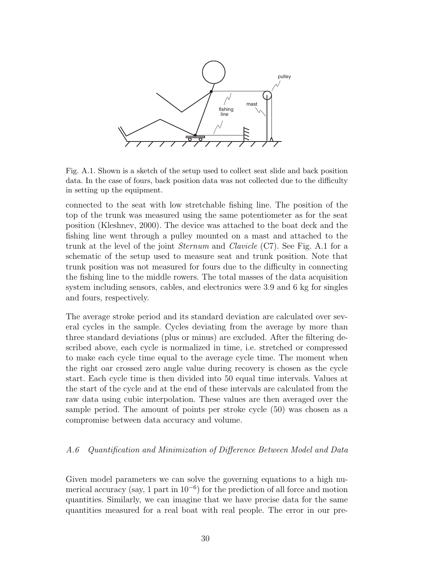

Fig. A.1. Shown is a sketch of the setup used to collect seat slide and back position data. In the case of fours, back position data was not collected due to the difficulty in setting up the equipment.

connected to the seat with low stretchable fishing line. The position of the top of the trunk was measured using the same potentiometer as for the seat position (Kleshnev, 2000). The device was attached to the boat deck and the fishing line went through a pulley mounted on a mast and attached to the trunk at the level of the joint Sternum and Clavicle (C7). See Fig. A.1 for a schematic of the setup used to measure seat and trunk position. Note that trunk position was not measured for fours due to the difficulty in connecting the fishing line to the middle rowers. The total masses of the data acquisition system including sensors, cables, and electronics were 3.9 and 6 kg for singles and fours, respectively.

The average stroke period and its standard deviation are calculated over several cycles in the sample. Cycles deviating from the average by more than three standard deviations (plus or minus) are excluded. After the filtering described above, each cycle is normalized in time, i.e. stretched or compressed to make each cycle time equal to the average cycle time. The moment when the right oar crossed zero angle value during recovery is chosen as the cycle start. Each cycle time is then divided into 50 equal time intervals. Values at the start of the cycle and at the end of these intervals are calculated from the raw data using cubic interpolation. These values are then averaged over the sample period. The amount of points per stroke cycle (50) was chosen as a compromise between data accuracy and volume.

# A.6 Quantification and Minimization of Difference Between Model and Data

Given model parameters we can solve the governing equations to a high numerical accuracy (say, 1 part in 10<sup>−</sup><sup>6</sup> ) for the prediction of all force and motion quantities. Similarly, we can imagine that we have precise data for the same quantities measured for a real boat with real people. The error in our pre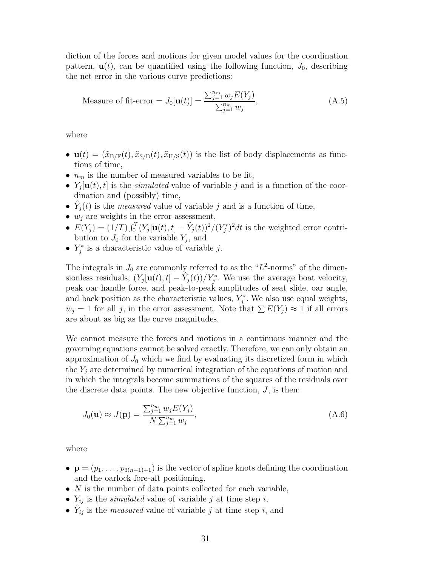diction of the forces and motions for given model values for the coordination pattern,  $\mathbf{u}(t)$ , can be quantified using the following function,  $J_0$ , describing the net error in the various curve predictions:

Measure of fit-error = 
$$
J_0[\mathbf{u}(t)] = \frac{\sum_{j=1}^{n_m} w_j E(Y_j)}{\sum_{j=1}^{n_m} w_j},
$$
 (A.5)

where

- $\mathbf{u}(t) = (\tilde{x}_{\text{B/F}}(t), \tilde{x}_{\text{S/B}}(t), \tilde{x}_{\text{H/S}}(t))$  is the list of body displacements as functions of time,
- $n_m$  is the number of measured variables to be fit,
- $Y_j[\mathbf{u}(t), t]$  is the *simulated* value of variable j and is a function of the coordination and (possibly) time,
- $\hat{Y}_j(t)$  is the *measured* value of variable j and is a function of time,
- $w_j$  are weights in the error assessment,
- $E(Y_j) = (1/T) \int_0^T (Y_j[\mathbf{u}(t), t] \hat{Y}_j(t))^2 / (Y_j^*)$  $(i_j^*)^2 dt$  is the weighted error contribution to  $J_0$  for the variable  $Y_j$ , and
- $Y_j^*$  $j^*$  is a characteristic value of variable j.

The integrals in  $J_0$  are commonly referred to as the " $L^2$ -norms" of the dimensionless residuals,  $(Y_j[\mathbf{u}(t), t] - \hat{Y}_j(t))/Y_j^*$ . We use the average boat velocity, peak oar handle force, and peak-to-peak amplitudes of seat slide, oar angle, and back position as the characteristic values,  $Y_i^*$  $\zeta_j^*$ . We also use equal weights,  $w_j = 1$  for all j, in the error assessment. Note that  $\sum E(Y_j) \approx 1$  if all errors are about as big as the curve magnitudes.

We cannot measure the forces and motions in a continuous manner and the governing equations cannot be solved exactly. Therefore, we can only obtain an approximation of  $J_0$  which we find by evaluating its discretized form in which the  $Y_i$  are determined by numerical integration of the equations of motion and in which the integrals become summations of the squares of the residuals over the discrete data points. The new objective function,  $J$ , is then:

$$
J_0(\mathbf{u}) \approx J(\mathbf{p}) = \frac{\sum_{j=1}^{n_m} w_j E(Y_j)}{N \sum_{j=1}^{n_m} w_j},
$$
\n(A.6)

where

- $\mathbf{p} = (p_1, \ldots, p_{3(n-1)+1})$  is the vector of spline knots defining the coordination and the oarlock fore-aft positioning,
- $N$  is the number of data points collected for each variable,
- $Y_{ij}$  is the *simulated* value of variable j at time step i,
- $\hat{Y}_{ij}$  is the *measured* value of variable j at time step i, and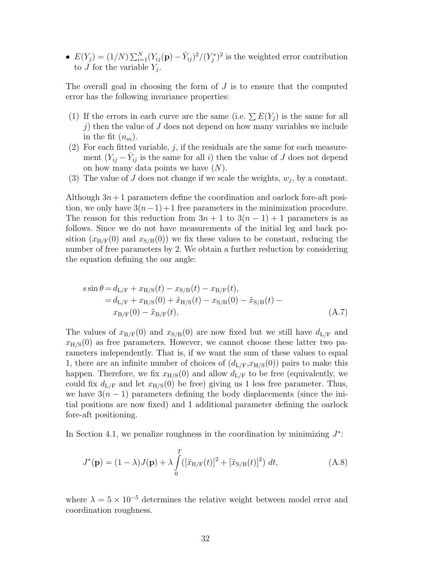•  $E(Y_j) = (1/N) \sum_{i=1}^{N} (Y_{ij}(\mathbf{p}) - \hat{Y}_{ij})^2 / (Y_j^*$  $(j^*)^2$  is the weighted error contribution to J for the variable  $Y_j$ .

The overall goal in choosing the form of  $J$  is to ensure that the computed error has the following invariance properties:

- (1) If the errors in each curve are the same (i.e.  $\sum E(Y_j)$  is the same for all j) then the value of  $J$  does not depend on how many variables we include in the fit  $(n_m)$ .
- (2) For each fitted variable,  $j$ , if the residuals are the same for each measurement  $(Y_{ij} - \hat{Y}_{ij}$  is the same for all i) then the value of J does not depend on how many data points we have  $(N)$ .
- (3) The value of J does not change if we scale the weights,  $w_j$ , by a constant.

Although  $3n+1$  parameters define the coordination and oarlock fore-aft position, we only have  $3(n-1)+1$  free parameters in the minimization procedure. The reason for this reduction from  $3n + 1$  to  $3(n - 1) + 1$  parameters is as follows. Since we do not have measurements of the initial leg and back position  $(x_{\rm B/F}(0)$  and  $x_{\rm S/B}(0)$ ) we fix these values to be constant, reducing the number of free parameters by 2. We obtain a further reduction by considering the equation defining the oar angle:

$$
s \sin \theta = d_{L/F} + x_{H/S}(t) - x_{S/B}(t) - x_{B/F}(t),
$$
  
=  $d_{L/F} + x_{H/S}(0) + \tilde{x}_{H/S}(t) - x_{S/B}(0) - \tilde{x}_{S/B}(t) - x_{B/F}(0) - \tilde{x}_{B/F}(t),$   
(A.7)

The values of  $x_{B/F}(0)$  and  $x_{S/B}(0)$  are now fixed but we still have  $d_{L/F}$  and  $x_{\text{H/S}}(0)$  as free parameters. However, we cannot choose these latter two parameters independently. That is, if we want the sum of these values to equal 1, there are an infinite number of choices of  $(d_{L/F}, x_{H/S}(0))$  pairs to make this happen. Therefore, we fix  $x_{H/S}(0)$  and allow  $d_{L/F}$  to be free (equivalently, we could fix  $d_{L/F}$  and let  $x_{H/S}(0)$  be free) giving us 1 less free parameter. Thus, we have  $3(n-1)$  parameters defining the body displacements (since the initial positions are now fixed) and 1 additional parameter defining the oarlock fore-aft positioning.

In Section 4.1, we penalize roughness in the coordination by minimizing  $J^*$ :

$$
J^*(\mathbf{p}) = (1 - \lambda)J(\mathbf{p}) + \lambda \int_0^T ([\ddot{x}_{B/F}(t)]^2 + [\ddot{x}_{S/B}(t)]^2) dt,
$$
 (A.8)

where  $\lambda = 5 \times 10^{-5}$  determines the relative weight between model error and coordination roughness.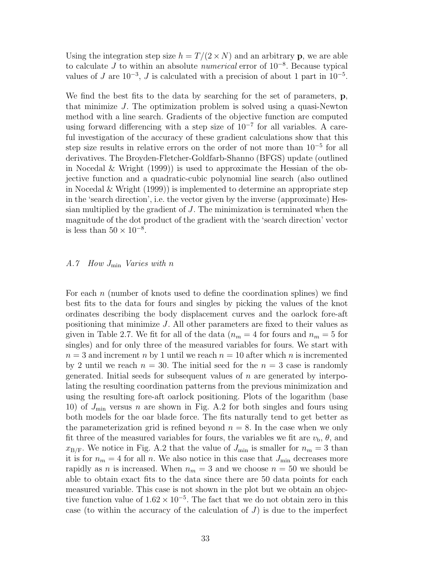Using the integration step size  $h = T/(2 \times N)$  and an arbitrary p, we are able to calculate  $J$  to within an absolute *numerical* error of  $10^{-8}$ . Because typical values of J are  $10^{-3}$ , J is calculated with a precision of about 1 part in  $10^{-5}$ .

We find the best fits to the data by searching for the set of parameters, **p**, that minimize J. The optimization problem is solved using a quasi-Newton method with a line search. Gradients of the objective function are computed using forward differencing with a step size of  $10^{-7}$  for all variables. A careful investigation of the accuracy of these gradient calculations show that this step size results in relative errors on the order of not more than 10<sup>-5</sup> for all derivatives. The Broyden-Fletcher-Goldfarb-Shanno (BFGS) update (outlined in Nocedal & Wright (1999)) is used to approximate the Hessian of the objective function and a quadratic-cubic polynomial line search (also outlined in Nocedal & Wright (1999)) is implemented to determine an appropriate step in the 'search direction', i.e. the vector given by the inverse (approximate) Hessian multiplied by the gradient of J. The minimization is terminated when the magnitude of the dot product of the gradient with the 'search direction' vector is less than  $50 \times 10^{-8}$ .

# A.7 How  $J_{\min}$  Varies with n

For each n (number of knots used to define the coordination splines) we find best fits to the data for fours and singles by picking the values of the knot ordinates describing the body displacement curves and the oarlock fore-aft positioning that minimize J. All other parameters are fixed to their values as given in Table 2.7. We fit for all of the data ( $n_m = 4$  for fours and  $n_m = 5$  for singles) and for only three of the measured variables for fours. We start with  $n = 3$  and increment n by 1 until we reach  $n = 10$  after which n is incremented by 2 until we reach  $n = 30$ . The initial seed for the  $n = 3$  case is randomly generated. Initial seeds for subsequent values of  $n$  are generated by interpolating the resulting coordination patterns from the previous minimization and using the resulting fore-aft oarlock positioning. Plots of the logarithm (base 10) of  $J_{\text{min}}$  versus n are shown in Fig. A.2 for both singles and fours using both models for the oar blade force. The fits naturally tend to get better as the parameterization grid is refined beyond  $n = 8$ . In the case when we only fit three of the measured variables for fours, the variables we fit are  $v_{\rm b}$ ,  $\theta$ , and  $x_{\rm B/F}$ . We notice in Fig. A.2 that the value of  $J_{\rm min}$  is smaller for  $n_m = 3$  than it is for  $n_m = 4$  for all n. We also notice in this case that  $J_{\text{min}}$  decreases more rapidly as *n* is increased. When  $n_m = 3$  and we choose  $n = 50$  we should be able to obtain exact fits to the data since there are 50 data points for each measured variable. This case is not shown in the plot but we obtain an objective function value of  $1.62 \times 10^{-5}$ . The fact that we do not obtain zero in this case (to within the accuracy of the calculation of  $J$ ) is due to the imperfect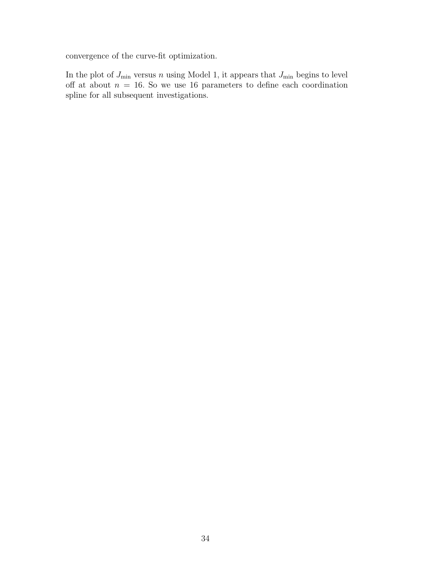convergence of the curve-fit optimization.

In the plot of  $J_{\min}$  versus n using Model 1, it appears that  $J_{\min}$  begins to level off at about  $n = 16$ . So we use 16 parameters to define each coordination spline for all subsequent investigations.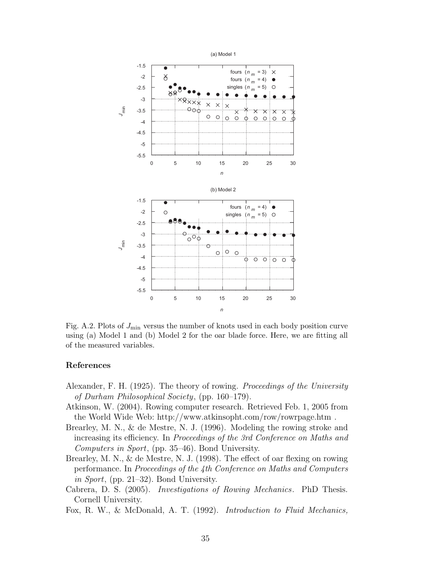

Fig. A.2. Plots of  $J_{\text{min}}$  versus the number of knots used in each body position curve using (a) Model 1 and (b) Model 2 for the oar blade force. Here, we are fitting all of the measured variables.

# References

- Alexander, F. H. (1925). The theory of rowing. *Proceedings of the University* of Durham Philosophical Society, (pp. 160–179).
- Atkinson, W. (2004). Rowing computer research. Retrieved Feb. 1, 2005 from the World Wide Web: http://www.atkinsopht.com/row/rowrpage.htm .
- Brearley, M. N., & de Mestre, N. J. (1996). Modeling the rowing stroke and increasing its efficiency. In Proceedings of the 3rd Conference on Maths and Computers in Sport, (pp. 35–46). Bond University.
- Brearley, M. N., & de Mestre, N. J. (1998). The effect of oar flexing on rowing performance. In Proceedings of the 4th Conference on Maths and Computers in Sport, (pp. 21–32). Bond University.
- Cabrera, D. S. (2005). Investigations of Rowing Mechanics. PhD Thesis. Cornell University.
- Fox, R. W., & McDonald, A. T. (1992). Introduction to Fluid Mechanics,